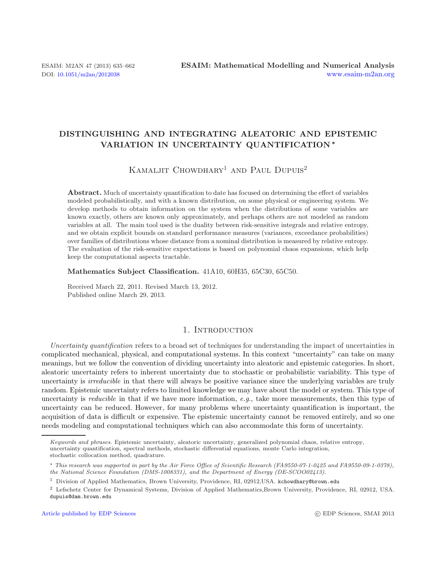# **DISTINGUISHING AND INTEGRATING ALEATORIC AND EPISTEMIC VARIATION IN UNCERTAINTY QUANTIFICATION** *∗*

# KAMALJIT CHOWDHARY<sup>1</sup> AND PAUL DUPUIS<sup>2</sup>

**Abstract.** Much of uncertainty quantification to date has focused on determining the effect of variables modeled probabilistically, and with a known distribution, on some physical or engineering system. We develop methods to obtain information on the system when the distributions of some variables are known exactly, others are known only approximately, and perhaps others are not modeled as random variables at all. The main tool used is the duality between risk-sensitive integrals and relative entropy, and we obtain explicit bounds on standard performance measures (variances, exceedance probabilities) over families of distributions whose distance from a nominal distribution is measured by relative entropy. The evaluation of the risk-sensitive expectations is based on polynomial chaos expansions, which help keep the computational aspects tractable.

**Mathematics Subject Classification.** 41A10, 60H35, 65C30, 65C50.

Received March 22, 2011. Revised March 13, 2012. Published online March 29, 2013.

## 1. INTRODUCTION

*Uncertainty quantification* refers to a broad set of techniques for understanding the impact of uncertainties in complicated mechanical, physical, and computational systems. In this context "uncertainty" can take on many meanings, but we follow the convention of dividing uncertainty into aleatoric and epistemic categories. In short, aleatoric uncertainty refers to inherent uncertainty due to stochastic or probabilistic variability. This type of uncertainty is *irreducible* in that there will always be positive variance since the underlying variables are truly random. Epistemic uncertainty refers to limited knowledge we may have about the model or system. This type of uncertainty is *reducible* in that if we have more information, *e.g.*, take more measurements, then this type of uncertainty can be reduced. However, for many problems where uncertainty quantification is important, the acquisition of data is difficult or expensive. The epistemic uncertainty cannot be removed entirely, and so one needs modeling and computational techniques which can also accommodate this form of uncertainty.

Keywords and phrases. Epistemic uncertainty, aleatoric uncertainty, generalized polynomial chaos, relative entropy, uncertainty quantification, spectral methods, stochastic differential equations, monte Carlo integration, stochastic collocation method, quadrature.

<sup>∗</sup> This research was supported in part by the Air Force Office of Scientific Research (FA9550-07-1-0425 and FA9550-09-1-0378), the National Science Foundation (DMS-1008331), and the Department of Energy (DE-SCOO02413).

<sup>1</sup> Division of Applied Mathematics, Brown University, Providence, RI, 02912,USA. kchowdhary@brown.edu

<sup>2</sup> Lefschetz Center for Dynamical Systems, Division of Applied Mathematics,Brown University, Providence, RI, 02912, USA. dupuis@dam.brown.edu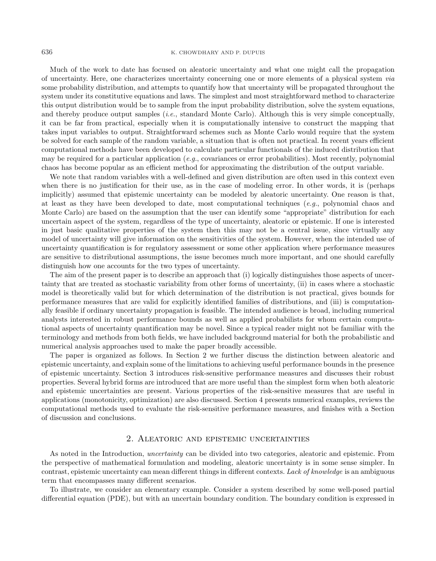#### 636 K. CHOWDHARY AND P. DUPUIS

Much of the work to date has focused on aleatoric uncertainty and what one might call the propagation of uncertainty. Here, one characterizes uncertainty concerning one or more elements of a physical system *via* some probability distribution, and attempts to quantify how that uncertainty will be propagated throughout the system under its constitutive equations and laws. The simplest and most straightforward method to characterize this output distribution would be to sample from the input probability distribution, solve the system equations, and thereby produce output samples (*i.e.*, standard Monte Carlo). Although this is very simple conceptually, it can be far from practical, especially when it is computationally intensive to construct the mapping that takes input variables to output. Straightforward schemes such as Monte Carlo would require that the system be solved for each sample of the random variable, a situation that is often not practical. In recent years efficient computational methods have been developed to calculate particular functionals of the induced distribution that may be required for a particular application (*e.g.*, covariances or error probabilities). Most recently, polynomial chaos has become popular as an efficient method for approximating the distribution of the output variable.

We note that random variables with a well-defined and given distribution are often used in this context even when there is no justification for their use, as in the case of modeling error. In other words, it is (perhaps implicitly) assumed that epistemic uncertainty can be modeled by aleatoric uncertainty. One reason is that, at least as they have been developed to date, most computational techniques (*e.g.*, polynomial chaos and Monte Carlo) are based on the assumption that the user can identify some "appropriate" distribution for each uncertain aspect of the system, regardless of the type of uncertainty, aleatoric or epistemic. If one is interested in just basic qualitative properties of the system then this may not be a central issue, since virtually any model of uncertainty will give information on the sensitivities of the system. However, when the intended use of uncertainty quantification is for regulatory assessment or some other application where performance measures are sensitive to distributional assumptions, the issue becomes much more important, and one should carefully distinguish how one accounts for the two types of uncertainty.

The aim of the present paper is to describe an approach that (i) logically distinguishes those aspects of uncertainty that are treated as stochastic variability from other forms of uncertainty, (ii) in cases where a stochastic model is theoretically valid but for which determination of the distribution is not practical, gives bounds for performance measures that are valid for explicitly identified families of distributions, and (iii) is computationally feasible if ordinary uncertainty propagation is feasible. The intended audience is broad, including numerical analysts interested in robust performance bounds as well as applied probabilists for whom certain computational aspects of uncertainty quantification may be novel. Since a typical reader might not be familiar with the terminology and methods from both fields, we have included background material for both the probabilistic and numerical analysis approaches used to make the paper broadly accessible.

The paper is organized as follows. In Section 2 we further discuss the distinction between aleatoric and epistemic uncertainty, and explain some of the limitations to achieving useful performance bounds in the presence of epistemic uncertainty. Section 3 introduces risk-sensitive performance measures and discusses their robust properties. Several hybrid forms are introduced that are more useful than the simplest form when both aleatoric and epistemic uncertainties are present. Various properties of the risk-sensitive measures that are useful in applications (monotonicity, optimization) are also discussed. Section 4 presents numerical examples, reviews the computational methods used to evaluate the risk-sensitive performance measures, and finishes with a Section of discussion and conclusions.

### 2. Aleatoric and epistemic uncertainties

As noted in the Introduction, *uncertainty* can be divided into two categories, aleatoric and epistemic. From the perspective of mathematical formulation and modeling, aleatoric uncertainty is in some sense simpler. In contrast, epistemic uncertainty can mean different things in different contexts. *Lack of knowledge* is an ambiguous term that encompasses many different scenarios.

To illustrate, we consider an elementary example. Consider a system described by some well-posed partial differential equation (PDE), but with an uncertain boundary condition. The boundary condition is expressed in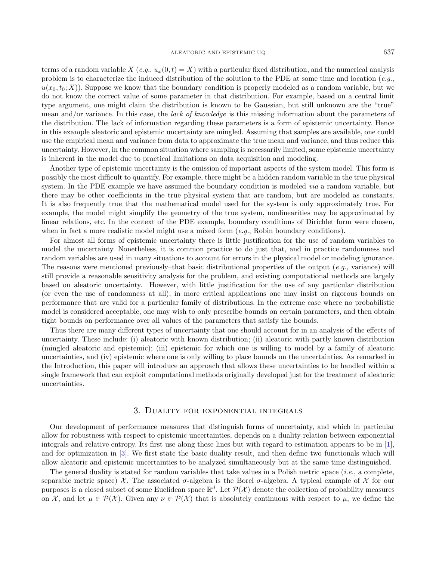terms of a random variable X  $(e.g., u_x(0,t) = X)$  with a particular fixed distribution, and the numerical analysis problem is to characterize the induced distribution of the solution to the PDE at some time and location (*e.g.*,  $u(x_0, t_0; X)$ . Suppose we know that the boundary condition is properly modeled as a random variable, but we do not know the correct value of some parameter in that distribution. For example, based on a central limit type argument, one might claim the distribution is known to be Gaussian, but still unknown are the "true" mean and/or variance. In this case, the *lack of knowledge* is this missing information about the parameters of the distribution. The lack of information regarding these parameters is a form of epistemic uncertainty. Hence in this example aleatoric and epistemic uncertainty are mingled. Assuming that samples are available, one could use the empirical mean and variance from data to approximate the true mean and variance, and thus reduce this uncertainty. However, in the common situation where sampling is necessarily limited, some epistemic uncertainty is inherent in the model due to practical limitations on data acquisition and modeling.

Another type of epistemic uncertainty is the omission of important aspects of the system model. This form is possibly the most difficult to quantify. For example, there might be a hidden random variable in the true physical system. In the PDE example we have assumed the boundary condition is modeled *via* a random variable, but there may be other coefficients in the true physical system that are random, but are modeled as constants. It is also frequently true that the mathematical model used for the system is only approximately true. For example, the model might simplify the geometry of the true system, nonlinearities may be approximated by linear relations, etc. In the context of the PDE example, boundary conditions of Dirichlet form were chosen, when in fact a more realistic model might use a mixed form (*e.g.*, Robin boundary conditions).

For almost all forms of epistemic uncertainty there is little justification for the use of random variables to model the uncertainty. Nonetheless, it is common practice to do just that, and in practice randomness and random variables are used in many situations to account for errors in the physical model or modeling ignorance. The reasons were mentioned previously–that basic distributional properties of the output (*e.g.*, variance) will still provide a reasonable sensitivity analysis for the problem, and existing computational methods are largely based on aleatoric uncertainty. However, with little justification for the use of any particular distribution (or even the use of randomness at all), in more critical applications one may insist on rigorous bounds on performance that are valid for a particular family of distributions. In the extreme case where no probabilistic model is considered acceptable, one may wish to only prescribe bounds on certain parameters, and then obtain tight bounds on performance over all values of the parameters that satisfy the bounds.

Thus there are many different types of uncertainty that one should account for in an analysis of the effects of uncertainty. These include: (i) aleatoric with known distribution; (ii) aleatoric with partly known distribution (mingled aleatoric and epistemic); (iii) epistemic for which one is willing to model by a family of aleatoric uncertainties, and (iv) epistemic where one is only willing to place bounds on the uncertainties. As remarked in the Introduction, this paper will introduce an approach that allows these uncertainties to be handled within a single framework that can exploit computational methods originally developed just for the treatment of aleatoric uncertainties.

#### 3. Duality for exponential integrals

Our development of performance measures that distinguish forms of uncertainty, and which in particular allow for robustness with respect to epistemic uncertainties, depends on a duality relation between exponential integrals and relative entropy. Its first use along these lines but with regard to estimation appears to be in [\[1](#page-27-0)], and for optimization in [\[3\]](#page-27-1). We first state the basic duality result, and then define two functionals which will allow aleatoric and epistemic uncertainties to be analyzed simultaneously but at the same time distinguished.

The general duality is stated for random variables that take values in a Polish metric space (*i.e.*, a complete, separable metric space)  $\mathcal X$ . The associated  $\sigma$ -algebra is the Borel  $\sigma$ -algebra. A typical example of  $\mathcal X$  for our purposes is a closed subset of some Euclidean space  $\mathbb{R}^d$ . Let  $\mathcal{P}(\mathcal{X})$  denote the collection of probability measures on  $\mathcal{X}$ , and let  $\mu \in \mathcal{P}(\mathcal{X})$ . Given any  $\nu \in \mathcal{P}(\mathcal{X})$  that is absolutely continuous with respect to  $\mu$ , we define the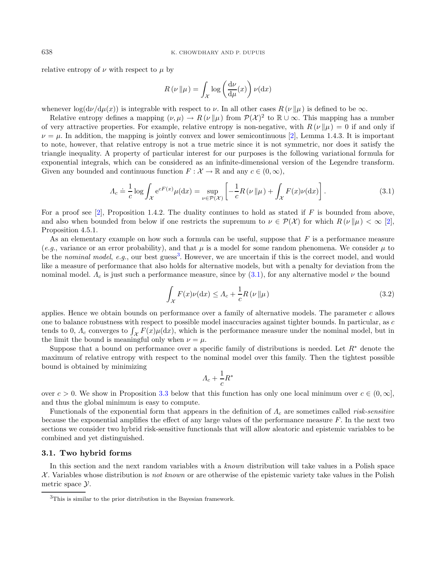relative entropy of  $\nu$  with respect to  $\mu$  by

<span id="page-3-2"></span><span id="page-3-1"></span>
$$
R(\nu \| \mu) = \int_{\mathcal{X}} \log \left( \frac{\mathrm{d}\nu}{\mathrm{d}\mu}(x) \right) \nu(\mathrm{d}x)
$$

whenever  $\log(d\nu/d\mu(x))$  is integrable with respect to  $\nu$ . In all other cases  $R(\nu||\mu)$  is defined to be  $\infty$ .

Relative entropy defines a mapping  $(\nu, \mu) \to R(\nu \| \mu)$  from  $\mathcal{P}(\mathcal{X})^2$  to  $\mathbb{R} \cup \infty$ . This mapping has a number of very attractive properties. For example, relative entropy is non-negative, with  $R(\nu \| \mu) = 0$  if and only if  $\nu = \mu$ . In addition, the mapping is jointly convex and lower semicontinuous [\[2](#page-27-2)], Lemma 1.4.3. It is important to note, however, that relative entropy is not a true metric since it is not symmetric, nor does it satisfy the triangle inequality. A property of particular interest for our purposes is the following variational formula for exponential integrals, which can be considered as an infinite-dimensional version of the Legendre transform. Given any bounded and continuous function  $F: \mathcal{X} \to \mathbb{R}$  and any  $c \in (0, \infty)$ ,

$$
\Lambda_c \doteq \frac{1}{c} \log \int_{\mathcal{X}} e^{cF(x)} \mu(\mathrm{d}x) = \sup_{\nu \in \mathcal{P}(\mathcal{X})} \left[ -\frac{1}{c} R(\nu \| \mu) + \int_{\mathcal{X}} F(x) \nu(\mathrm{d}x) \right]. \tag{3.1}
$$

For a proof see [\[2](#page-27-2)], Proposition 1.4.2. The duality continues to hold as stated if  $F$  is bounded from above, and also when bounded from below if one restricts the supremum to  $\nu \in \mathcal{P}(\mathcal{X})$  for which  $R(\nu \| \mu) < \infty$  [\[2](#page-27-2)], Proposition 4.5.1.

As an elementary example on how such a formula can be useful, suppose that  $F$  is a performance measure (*e.g.*, variance or an error probability), and that  $\mu$  is a model for some random phenomena. We consider  $\mu$  to be the *nominal model*, *e.g.*, our best guess<sup>[3](#page-3-0)</sup>. However, we are uncertain if this is the correct model, and would like a measure of performance that also holds for alternative models, but with a penalty for deviation from the nominal model.  $\Lambda_c$  is just such a performance measure, since by [\(3.1\)](#page-3-1), for any alternative model  $\nu$  the bound

$$
\int_{\mathcal{X}} F(x)\nu(\mathrm{d}x) \le A_c + \frac{1}{c}R(\nu \|\mu)
$$
\n(3.2)

applies. Hence we obtain bounds on performance over a family of alternative models. The parameter  $c$  allows one to balance robustness with respect to possible model inaccuracies against tighter bounds. In particular, as c tends to 0,  $\Lambda_c$  converges to  $\int_{\mathcal{X}} F(x) \mu(\mathrm{d}x)$ , which is the performance measure under the nominal model, but in the limit the bound is meaningful only when  $\nu = \mu$ .

Suppose that a bound on performance over a specific family of distributions is needed. Let  $R^*$  denote the maximum of relative entropy with respect to the nominal model over this family. Then the tightest possible bound is obtained by minimizing

$$
A_c + \frac{1}{c}R^*
$$

<span id="page-3-0"></span>over  $c > 0$ . We show in Proposition [3.3](#page-6-0) below that this function has only one local minimum over  $c \in (0, \infty)$ , and thus the global minimum is easy to compute.

Functionals of the exponential form that appears in the definition of Λ<sup>c</sup> are sometimes called *risk-sensitive* because the exponential amplifies the effect of any large values of the performance measure  $F$ . In the next two sections we consider two hybrid risk-sensitive functionals that will allow aleatoric and epistemic variables to be combined and yet distinguished.

#### <span id="page-3-3"></span>**3.1. Two hybrid forms**

In this section and the next random variables with a *known* distribution will take values in a Polish space X. Variables whose distribution is *not known* or are otherwise of the epistemic variety take values in the Polish metric space Y.

<sup>3</sup>This is similar to the prior distribution in the Bayesian framework.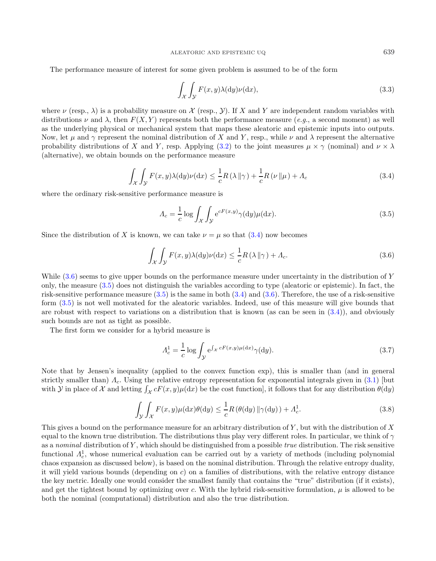The performance measure of interest for some given problem is assumed to be of the form

<span id="page-4-3"></span><span id="page-4-2"></span><span id="page-4-1"></span>
$$
\int_{\mathcal{X}} \int_{\mathcal{Y}} F(x, y) \lambda(dy) \nu(dx), \tag{3.3}
$$

where  $\nu$  (resp.,  $\lambda$ ) is a probability measure on X (resp.,  $\mathcal Y$ ). If X and Y are independent random variables with distributions  $\nu$  and  $\lambda$ , then  $F(X, Y)$  represents both the performance measure (*e.g.*, a second moment) as well as the underlying physical or mechanical system that maps these aleatoric and epistemic inputs into outputs. Now, let  $\mu$  and  $\gamma$  represent the nominal distribution of X and Y, resp., while  $\nu$  and  $\lambda$  represent the alternative probability distributions of X and Y, resp. Applying [\(3.2\)](#page-3-2) to the joint measures  $\mu \times \gamma$  (nominal) and  $\nu \times \lambda$ (alternative), we obtain bounds on the performance measure

$$
\int_{\mathcal{X}} \int_{\mathcal{Y}} F(x, y) \lambda(\mathrm{d}y) \nu(\mathrm{d}x) \le \frac{1}{c} R\left(\lambda \| \gamma\right) + \frac{1}{c} R\left(\nu \| \mu\right) + \Lambda_c \tag{3.4}
$$

<span id="page-4-0"></span>where the ordinary risk-sensitive performance measure is

<span id="page-4-5"></span>
$$
A_c = \frac{1}{c} \log \int_{\mathcal{X}} \int_{\mathcal{Y}} e^{cF(x,y)} \gamma(\mathrm{d}y) \mu(\mathrm{d}x). \tag{3.5}
$$

Since the distribution of X is known, we can take  $\nu = \mu$  so that [\(3.4\)](#page-4-0) now becomes

$$
\int_{\mathcal{X}} \int_{\mathcal{Y}} F(x, y) \lambda(\mathrm{d}y) \nu(\mathrm{d}x) \le \frac{1}{c} R(\lambda \| \gamma) + \Lambda_c. \tag{3.6}
$$

<span id="page-4-4"></span>While  $(3.6)$  seems to give upper bounds on the performance measure under uncertainty in the distribution of Y only, the measure [\(3.5\)](#page-4-2) does not distinguish the variables according to type (aleatoric or epistemic). In fact, the risk-sensitive performance measure  $(3.5)$  is the same in both  $(3.4)$  and  $(3.6)$ . Therefore, the use of a risk-sensitive form [\(3.5\)](#page-4-2) is not well motivated for the aleatoric variables. Indeed, use of this measure will give bounds that are robust with respect to variations on a distribution that is known (as can be seen in  $(3.4)$ ), and obviously such bounds are not as tight as possible.

The first form we consider for a hybrid measure is

$$
A_c^1 = \frac{1}{c} \log \int_{\mathcal{Y}} e^{\int_{\mathcal{X}} cF(x,y)\mu(\mathrm{d}x)} \gamma(\mathrm{d}y). \tag{3.7}
$$

Note that by Jensen's inequality (applied to the convex function exp), this is smaller than (and in general strictly smaller than)  $\Lambda_c$ . Using the relative entropy representation for exponential integrals given in [\(3.1\)](#page-3-1) [but with  $\mathcal Y$  in place of  $\mathcal X$  and letting  $\int_{\mathcal X} cF(x, y)\mu(\mathrm{d}x)$  be the cost function], it follows that for any distribution  $\theta(\mathrm{d}y)$ 

$$
\int_{\mathcal{Y}} \int_{\mathcal{X}} F(x, y) \mu(\mathrm{d}x) \theta(\mathrm{d}y) \le \frac{1}{c} R\left(\theta(\mathrm{d}y) \|\gamma(\mathrm{d}y)\right) + A_c^1.
$$
\n(3.8)

This gives a bound on the performance measure for an arbitrary distribution of Y, but with the distribution of X equal to the known true distribution. The distributions thus play very different roles. In particular, we think of  $\gamma$ as a *nominal* distribution of Y , which should be distinguished from a possible *true* distribution. The risk sensitive functional  $\Lambda_c^1$ , whose numerical evaluation can be carried out by a variety of methods (including polynomial chaos expansion as discussed below), is based on the nominal distribution. Through the relative entropy duality, it will yield various bounds (depending on  $c$ ) on a families of distributions, with the relative entropy distance the key metric. Ideally one would consider the smallest family that contains the "true" distribution (if it exists), and get the tightest bound by optimizing over c. With the hybrid risk-sensitive formulation,  $\mu$  is allowed to be both the nominal (computational) distribution and also the true distribution.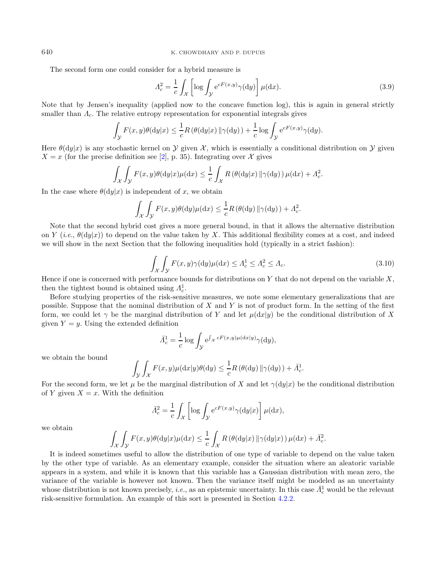The second form one could consider for a hybrid measure is

<span id="page-5-0"></span>
$$
A_c^2 = \frac{1}{c} \int_{\mathcal{X}} \left[ \log \int_{\mathcal{Y}} e^{cF(x,y)} \gamma(\mathrm{d}y) \right] \mu(\mathrm{d}x). \tag{3.9}
$$

Note that by Jensen's inequality (applied now to the concave function log), this is again in general strictly smaller than  $\Lambda_c$ . The relative entropy representation for exponential integrals gives

$$
\int_{\mathcal{Y}} F(x, y)\theta(\mathrm{d}y|x) \leq \frac{1}{c}R\left(\theta(\mathrm{d}y|x) \|\gamma(\mathrm{d}y)\right) + \frac{1}{c}\log \int_{\mathcal{Y}} e^{cF(x, y)}\gamma(\mathrm{d}y).
$$

Here  $\theta(\mathrm{d}y|x)$  is any stochastic kernel on Y given X, which is essentially a conditional distribution on Y given  $X = x$  (for the precise definition see [\[2](#page-27-2)], p. 35). Integrating over X gives

$$
\int_{\mathcal{X}} \int_{\mathcal{Y}} F(x, y) \theta(\mathrm{d}y | x) \mu(\mathrm{d}x) \leq \frac{1}{c} \int_{\mathcal{X}} R\left(\theta(\mathrm{d}y | x) \| \gamma(\mathrm{d}y)\right) \mu(\mathrm{d}x) + \Lambda_c^2.
$$

In the case where  $\theta(\mathrm{d}y|x)$  is independent of x, we obtain

-

$$
\int_{\mathcal{X}} \int_{\mathcal{Y}} F(x, y) \theta(\mathrm{d}y) \mu(\mathrm{d}x) \leq \frac{1}{c} R\left(\theta(\mathrm{d}y) \|\gamma(\mathrm{d}y)\right) + A_c^2.
$$

<span id="page-5-1"></span>Note that the second hybrid cost gives a more general bound, in that it allows the alternative distribution on Y (*i.e.*,  $\theta(\mathrm{d}y|x)$ ) to depend on the value taken by X. This additional flexibility comes at a cost, and indeed we will show in the next Section that the following inequalities hold (typically in a strict fashion):

$$
\int_{\mathcal{X}} \int_{\mathcal{Y}} F(x, y) \gamma(\mathrm{d}y) \mu(\mathrm{d}x) \le A_c^1 \le A_c^2 \le A_c. \tag{3.10}
$$

Hence if one is concerned with performance bounds for distributions on Y that do not depend on the variable  $X$ , then the tightest bound is obtained using  $\Lambda_c^1$ .

Before studying properties of the risk-sensitive measures, we note some elementary generalizations that are possible. Suppose that the nominal distribution of X and Y is not of product form. In the setting of the first form, we could let  $\gamma$  be the marginal distribution of Y and let  $\mu(dx|y)$  be the conditional distribution of X given  $Y = y$ . Using the extended definition

$$
\bar{A}_c^1 = -\frac{1}{c} \log \int_{\mathcal{Y}} e^{\int_{\mathcal{X}} cF(x,y)\mu(\mathrm{d}x|y)} \gamma(\mathrm{d}y),
$$

we obtain the bound

$$
\int_{\mathcal{Y}} \int_{\mathcal{X}} F(x, y) \mu(\mathrm{d}x | y) \theta(\mathrm{d}y) \leq \frac{1}{c} R(\theta(\mathrm{d}y) \| \gamma(\mathrm{d}y)) + \bar{A}_c^1.
$$

For the second form, we let  $\mu$  be the marginal distribution of X and let  $\gamma(dy|x)$  be the conditional distribution of Y given  $X = x$ . With the definition

$$
\bar{A}_c^2 = \frac{1}{c} \int_{\mathcal{X}} \left[ \log \int_{\mathcal{Y}} e^{cF(x,y)} \gamma(\mathrm{d}y|x) \right] \mu(\mathrm{d}x),
$$

we obtain

$$
\int_{\mathcal{X}} \int_{\mathcal{Y}} F(x, y) \theta(\mathrm{d}y | x) \mu(\mathrm{d}x) \leq \frac{1}{c} \int_{\mathcal{X}} R\left(\theta(\mathrm{d}y | x) \|\gamma(\mathrm{d}y | x)\right) \mu(\mathrm{d}x) + \bar{\Lambda}_c^2.
$$

It is indeed sometimes useful to allow the distribution of one type of variable to depend on the value taken by the other type of variable. As an elementary example, consider the situation where an aleatoric variable appears in a system, and while it is known that this variable has a Gaussian distribution with mean zero, the variance of the variable is however not known. Then the variance itself might be modeled as an uncertainty whose distribution is not known precisely, *i.e.*, as an epistemic uncertainty. In this case  $\bar{A}_{c}^{1}$  would be the relevant risk-sensitive formulation. An example of this sort is presented in Section [4.2.2.](#page-21-0)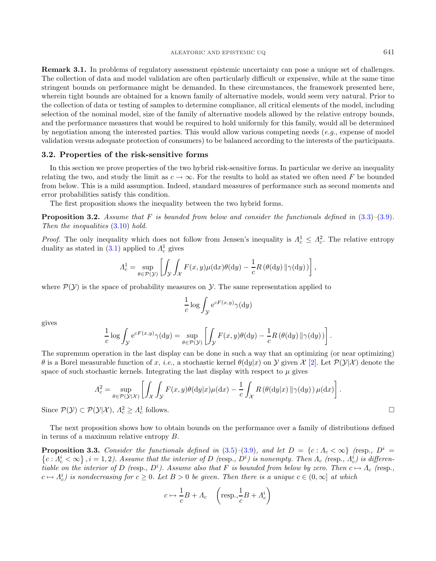**Remark 3.1.** In problems of regulatory assessment epistemic uncertainty can pose a unique set of challenges. The collection of data and model validation are often particularly difficult or expensive, while at the same time stringent bounds on performance might be demanded. In these circumstances, the framework presented here, wherein tight bounds are obtained for a known family of alternative models, would seem very natural. Prior to the collection of data or testing of samples to determine compliance, all critical elements of the model, including selection of the nominal model, size of the family of alternative models allowed by the relative entropy bounds, and the performance measures that would be required to hold uniformly for this family, would all be determined by negotiation among the interested parties. This would allow various competing needs (*e.g.*, expense of model validation versus adequate protection of consumers) to be balanced according to the interests of the participants.

#### **3.2. Properties of the risk-sensitive forms**

In this section we prove properties of the two hybrid risk-sensitive forms. In particular we derive an inequality relating the two, and study the limit as  $c \to \infty$ . For the results to hold as stated we often need F be bounded from below. This is a mild assumption. Indeed, standard measures of performance such as second moments and error probabilities satisfy this condition.

The first proposition shows the inequality between the two hybrid forms.

**Proposition 3.2.** *Assume that* F *is bounded from below and consider the functionals defined in* [\(3.3\)](#page-4-3)*–*[\(3.9\)](#page-5-0)*. Then the inequalities* [\(3.10\)](#page-5-1) *hold.*

*Proof.* The only inequality which does not follow from Jensen's inequality is  $\Lambda_c^1 \leq \Lambda_c^2$ . The relative entropy duality as stated in  $(3.1)$  applied to  $\Lambda_c^1$  gives

$$
\Lambda_c^1 = \sup_{\theta \in \mathcal{P}(\mathcal{Y})} \left[ \int_{\mathcal{Y}} \int_{\mathcal{X}} F(x, y) \mu(dx) \theta(dy) - \frac{1}{c} R(\theta(dy) \| \gamma(dy)) \right],
$$

where  $\mathcal{P}(\mathcal{Y})$  is the space of probability measures on  $\mathcal{Y}$ . The same representation applied to

$$
\frac{1}{c}\log\int_{\mathcal{Y}} e^{cF(x,y)}\gamma(\mathrm{d}y)
$$

gives

$$
\frac{1}{c} \log \int_{\mathcal{Y}} e^{cF(x,y)} \gamma(\mathrm{d}y) = \sup_{\theta \in \mathcal{P}(\mathcal{Y})} \left[ \int_{\mathcal{Y}} F(x,y) \theta(\mathrm{d}y) - \frac{1}{c} R\left(\theta(\mathrm{d}y) \|\gamma(\mathrm{d}y)\right) \right].
$$

The supremum operation in the last display can be done in such a way that an optimizing (or near optimizing)  $\theta$  is a Borel measurable function of x, *i.e.*, a stochastic kernel  $\theta(\mathrm{d}y|x)$  on  $\mathcal Y$  given  $\mathcal X$  [\[2](#page-27-2)]. Let  $\mathcal P(\mathcal Y|\mathcal X)$  denote the space of such stochastic kernels. Integrating the last display with respect to  $\mu$  gives

$$
A_c^2 = \sup_{\theta \in \mathcal{P}(\mathcal{Y}|\mathcal{X})} \left[ \int_{\mathcal{X}} \int_{\mathcal{Y}} F(x, y) \theta(\mathrm{d}y | x) \mu(\mathrm{d}x) - \frac{1}{c} \int_{\mathcal{X}} R\left(\theta(\mathrm{d}y | x) \|\gamma(\mathrm{d}y)\right) \mu(\mathrm{d}x) \right].
$$
  
 
$$
P(\mathcal{Y}|\mathcal{X}), A_c^2 > A_c^1 \text{ follows.}
$$

Since  $\mathcal{P}(\mathcal{Y}) \subset \mathcal{P}(\mathcal{Y}|\mathcal{X}), A_c^2 \geq A_c^1$  $\frac{1}{c}$  follows.

<span id="page-6-0"></span>The next proposition shows how to obtain bounds on the performance over a family of distributions defined in terms of a maximum relative entropy B.

**Proposition 3.3.** *Consider the functionals defined in* [\(3.5\)](#page-4-2)–[\(3.9\)](#page-5-0)*, and let*  $D = \{c : A_c < \infty\}$  *(resp.,*  $D^i =$  $\{c: \overline{A_c^i} < \infty\}, i = 1, 2$ ). Assume that the interior of D (resp.,  $D^i$ ) is nonempty. Then  $A_c$  (resp.,  $\overline{A_c^i}$ ) is differen*tiable on the interior of* D (resp.,  $D^i$ ). Assume also that F is bounded from below by zero. Then  $c \mapsto A_c$  (resp.,  $c \mapsto A_c^i$ ) is nondecreasing for  $c \geq 0$ . Let  $B > 0$  be given. Then there is a unique  $c \in (0, \infty]$  at which

$$
c \mapsto \frac{1}{c}B + A_c \quad \left(\text{resp.}, \frac{1}{c}B + A_c^i\right)
$$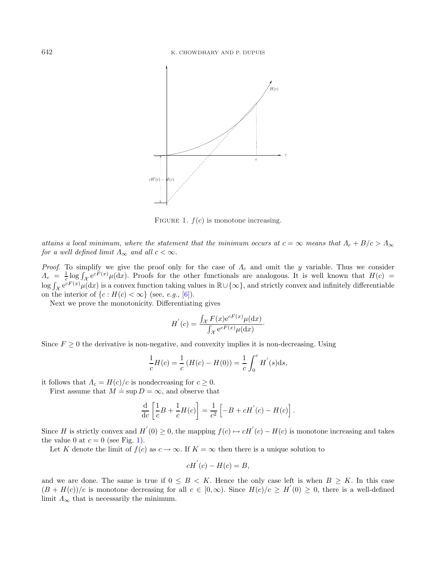<span id="page-7-0"></span>

FIGURE 1.  $f(c)$  is monotone increasing.

*attains a local minimum, where the statement that the minimum occurs at*  $c = \infty$  *means that*  $\Lambda_c + B/c > \Lambda_\infty$ *for a well defined limit*  $\Lambda_{\infty}$  *and all*  $c < \infty$ *.* 

*Proof.* To simplify we give the proof only for the case of  $\Lambda_c$  and omit the y variable. Thus we consider  $A_c = \frac{1}{c} \log \int_{\mathcal{X}} e^{c\tilde{F}(x)} \mu(dx)$ . Proofs for the other functionals are analogous. It is well known that  $H(c) =$  $\log \int_{\mathcal{X}} e^{cF(x)} \mu(dx)$  is a convex function taking values in  $\mathbb{R} \cup \{\infty\}$ , and strictly convex and infinitely differentiable on the interior of  $\{c : H(c) < \infty\}$  (see, *e.g.*, [\[6](#page-27-3)]).

Next we prove the monotonicity. Differentiating gives

$$
H^{'}(c) = \frac{\int_{\mathcal{X}} F(x) e^{cF(x)} \mu(\mathrm{d}x)}{\int_{\mathcal{X}} e^{cF(x)} \mu(\mathrm{d}x)}.
$$

Since  $F \geq 0$  the derivative is non-negative, and convexity implies it is non-decreasing. Using

$$
\frac{1}{c}H(c) = \frac{1}{c}(H(c) - H(0)) = \frac{1}{c}\int_0^c H^{'}(s)ds,
$$

it follows that  $\Lambda_c = H(c)/c$  is nondecreasing for  $c \geq 0$ .

First assume that  $M \doteq \sup D = \infty$ , and observe that

$$
\frac{\mathrm{d}}{\mathrm{d}c} \left[ \frac{1}{c} B + \frac{1}{c} H(c) \right] = \frac{1}{c^2} \left[ -B + c H^{'}(c) - H(c) \right].
$$

Since H is strictly convex and  $H'(0) \geq 0$ , the mapping  $f(c) \mapsto cH'(c) - H(c)$  is monotone increasing and takes the value 0 at  $c = 0$  (see Fig. [1\)](#page-7-0).

Let K denote the limit of  $f(c)$  as  $c \to \infty$ . If  $K = \infty$  then there is a unique solution to

$$
cH^{'}(c) - H(c) = B,
$$

and we are done. The same is true if  $0 \leq B \leq K$ . Hence the only case left is when  $B \geq K$ . In this case  $(B + H(c))/c$  is monotone decreasing for all  $c \in [0, \infty)$ . Since  $H(c)/c \ge H'(0) \ge 0$ , there is a well-defined limit  $\Lambda_{\infty}$  that is necessarily the minimum.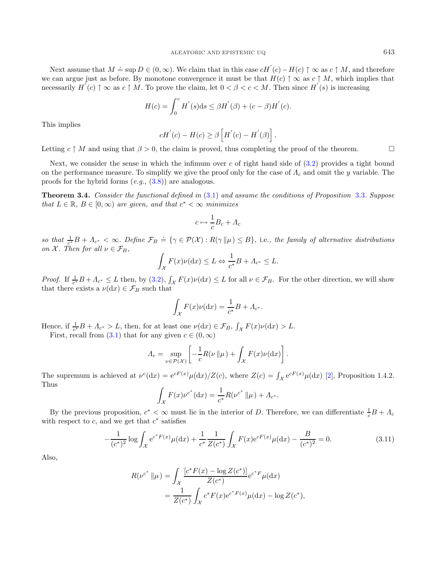Next assume that  $M \doteq \sup D \in (0,\infty)$ . We claim that in this case  $cH^{'}(c) - H(c) \uparrow \infty$  as  $c \uparrow M$ , and therefore we can argue just as before. By monotone convergence it must be that  $H(c) \uparrow \infty$  as  $c \uparrow M$ , which implies that necessarily  $H^{'}(c) \uparrow \infty$  as  $c \uparrow M$ . To prove the claim, let  $0 < \beta < c < M$ . Then since  $H^{'}(s)$  is increasing

$$
H(c) = \int_0^c H^{'}(s)ds \le \beta H^{'}(\beta) + (c - \beta)H^{'}(c).
$$

This implies

$$
cH^{'}(c) - H(c) \geq \beta \left[ H^{'}(c) - H^{'}(\beta) \right].
$$

Letting  $c \uparrow M$  and using that  $\beta > 0$ , the claim is proved, thus completing the proof of the theorem.

Next, we consider the sense in which the infimum over c of right hand side of  $(3.2)$  provides a tight bound on the performance measure. To simplify we give the proof only for the case of  $\Lambda_c$  and omit the y variable. The proofs for the hybrid forms (*e.g.*, [\(3.8\)](#page-4-4)) are analogous.

**Theorem 3.4.** *Consider the functional defined in* [\(3.1\)](#page-3-1) *and assume the conditions of Proposition* [3.3](#page-6-0)*. Suppose that*  $L \in \mathbb{R}$ ,  $B \in [0, \infty)$  *are given, and that*  $c^* < \infty$  *minimizes* 

$$
c \mapsto \frac{1}{c}B_c + \Lambda_c
$$

so that  $\frac{1}{c^*}B + \Lambda_{c^*} < \infty$ . Define  $\mathcal{F}_B \doteq \{ \gamma \in \mathcal{P}(\mathcal{X}) : R(\gamma \| \mu) \leq B \}$ , i.e., the family of alternative distributions *on* X. Then for all  $\nu \in \mathcal{F}_B$ ,

$$
\int_{\mathcal{X}} F(x)\nu(\mathrm{d}x) \le L \Leftrightarrow \frac{1}{c^*}B + \Lambda_{c^*} \le L.
$$

*Proof.* If  $\frac{1}{c^*}B + \Lambda_{c^*} \leq L$  then, by [\(3.2\)](#page-3-2),  $\int_{\mathcal{X}} F(x)\nu(\mathrm{d}x) \leq L$  for all  $\nu \in \mathcal{F}_B$ . For the other direction, we will show that there exists a  $\nu(\mathrm{d}x) \in \mathcal{F}_B$  such that

<span id="page-8-0"></span>
$$
\int_{\mathcal{X}} F(x)\nu(\mathrm{d}x) = \frac{1}{c^*}B + \Lambda_{c^*}.
$$

Hence, if  $\frac{1}{c^*}B + \Lambda_{c^*} > L$ , then, for at least one  $\nu(\mathrm{d}x) \in \mathcal{F}_B$ ,  $\int_{\mathcal{X}} F(x)\nu(\mathrm{d}x) > L$ .

First, recall from  $(3.1)$  that for any given  $c \in (0, \infty)$ 

$$
\Lambda_c = \sup_{\nu \in \mathcal{P}(\mathcal{X})} \left[ -\frac{1}{c} R(\nu \| \mu) + \int_{\mathcal{X}} F(x) \nu(\mathrm{d}x) \right].
$$

The supremum is achieved at  $\nu^{c}(\text{d}x) = e^{cF(x)}\mu(\text{d}x)/Z(c)$ , where  $Z(c) = \int_{\mathcal{X}} e^{cF(x)}\mu(\text{d}x)$  [\[2](#page-27-2)], Proposition 1.4.2. Thus

$$
\int_{\mathcal{X}} F(x) \nu^{c^*} (\mathrm{d} x) = \frac{1}{c^*} R(\nu^{c^*} \| \mu) + \Lambda_{c^*}.
$$

By the previous proposition,  $c^* < \infty$  must lie in the interior of D. Therefore, we can differentiate  $\frac{1}{c}B + \Lambda_c$ with respect to  $c$ , and we get that  $c^*$  satisfies

$$
-\frac{1}{(c^*)^2} \log \int_{\mathcal{X}} e^{c^* F(x)} \mu(\mathrm{d}x) + \frac{1}{c^*} \frac{1}{Z(c^*)} \int_{\mathcal{X}} F(x) e^{cF(x)} \mu(\mathrm{d}x) - \frac{B}{(c^*)^2} = 0. \tag{3.11}
$$

Also,

$$
R(\nu^{c^*} \| \mu) = \int_{\mathcal{X}} \frac{[c^* F(x) - \log Z(c^*)]}{Z(c^*)} e^{c^* F} \mu(\mathrm{d}x)
$$
  
= 
$$
\frac{1}{Z(c^*)} \int_{\mathcal{X}} c^* F(x) e^{c^* F(x)} \mu(\mathrm{d}x) - \log Z(c^*),
$$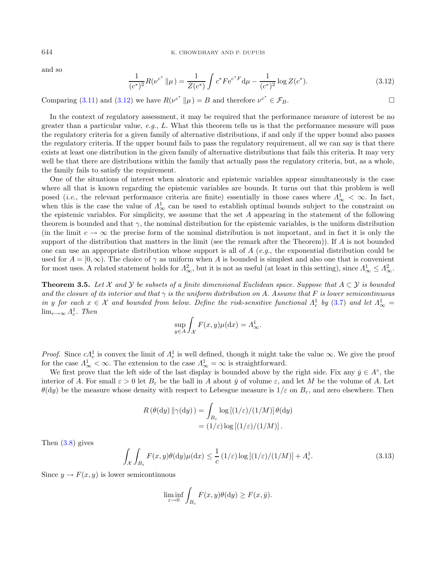#### <span id="page-9-0"></span>644 K. CHOWDHARY AND P. DUPUIS

and so

$$
\frac{1}{(c^*)^2} R(\nu^{c^*} \| \mu) = \frac{1}{Z(c^*)} \int c^* F e^{c^* F} d\mu - \frac{1}{(c^*)^2} \log Z(c^*).
$$
 (3.12)

 $\Box$ 

Comparing [\(3.11\)](#page-8-0) and [\(3.12\)](#page-9-0) we have  $R(\nu^{c^*} \| \mu) = B$  and therefore  $\nu^{c^*} \in \mathcal{F}_B$ .

In the context of regulatory assessment, it may be required that the performance measure of interest be no greater than a particular value, *e.g.*, L. What this theorem tells us is that the performance measure will pass the regulatory criteria for a given family of alternative distributions, if and only if the upper bound also passes the regulatory criteria. If the upper bound fails to pass the regulatory requirement, all we can say is that there exists at least one distribution in the given family of alternative distributions that fails this criteria. It may very well be that there are distributions within the family that actually pass the regulatory criteria, but, as a whole, the family fails to satisfy the requirement.

One of the situations of interest when aleatoric and epistemic variables appear simultaneously is the case where all that is known regarding the epistemic variables are bounds. It turns out that this problem is well posed (*i.e.*, the relevant performance criteria are finite) essentially in those cases where  $\Lambda^1_{\infty} < \infty$ . In fact, when this is the case the value of  $\Lambda^1_{\infty}$  can be used to establish optimal bounds subject to the constraint on the epistemic variables. For simplicity, we assume that the set  $A$  appearing in the statement of the following theorem is bounded and that  $\gamma$ , the nominal distribution for the epistemic variables, is the uniform distribution (in the limit  $c \to \infty$  the precise form of the nominal distribution is not important, and in fact it is only the support of the distribution that matters in the limit (see the remark after the Theorem)). If A is not bounded one can use an appropriate distribution whose support is all of A (*e.g.*, the exponential distribution could be used for  $A = [0, \infty)$ . The choice of  $\gamma$  as uniform when A is bounded is simplest and also one that is convenient for most uses. A related statement holds for  $\Lambda^2_{\infty}$ , but it is not as useful (at least in this setting), since  $\Lambda^1_{\infty} \leq \Lambda^2_{\infty}$ .

<span id="page-9-2"></span>**Theorem 3.5.** *Let* X and Y *be subsets of a finite dimensional Euclidean space. Suppose that*  $A \subset Y$  *is bounded* and the closure of its interior and that  $\gamma$  is the uniform distribution on A. Assume that  $F$  is lower semicontinuous *in* y *for each*  $x \in \mathcal{X}$  *and bounded from below. Define the risk-sensitive functional*  $\Lambda_c^1$  *by* [\(3.7\)](#page-4-5) *and let*  $\Lambda_{\infty}^1$  $\lim_{c\to\infty} \Lambda_c^1$ . Then

$$
\sup_{y \in A} \int_{\mathcal{X}} F(x, y) \mu(\mathrm{d}x) = \Lambda^1_{\infty}.
$$

<span id="page-9-1"></span>*Proof.* Since  $c\Lambda_c^1$  is convex the limit of  $\Lambda_c^1$  is well defined, though it might take the value  $\infty$ . We give the proof for the case  $\Lambda^1_{\infty} < \infty$ . The extension to the case  $\Lambda^1_{\infty} = \infty$  is straightforward.

We first prove that the left side of the last display is bounded above by the right side. Fix any  $\bar{y} \in A^{\circ}$ , the interior of A. For small  $\varepsilon > 0$  let  $B_{\varepsilon}$  be the ball in A about  $\bar{y}$  of volume  $\varepsilon$ , and let M be the volume of A. Let  $\theta(dy)$  be the measure whose density with respect to Lebesgue measure is  $1/\varepsilon$  on  $B_{\varepsilon}$ , and zero elsewhere. Then

$$
R(\theta(\mathrm{d}y) \| \gamma(\mathrm{d}y)) = \int_{B_{\varepsilon}} \log \left[ (1/\varepsilon) / (1/M) \right] \theta(\mathrm{d}y)
$$

$$
= (1/\varepsilon) \log \left[ (1/\varepsilon) / (1/M) \right].
$$

Then [\(3.8\)](#page-4-4) gives

$$
\int_{\mathcal{X}} \int_{B_{\varepsilon}} F(x, y)\theta(\mathrm{d}y)\mu(\mathrm{d}x) \le \frac{1}{c} \left(1/\varepsilon\right) \log\left[\frac{1}{\varepsilon}\right] / \left(1/M\right)\right] + \Lambda_c^1. \tag{3.13}
$$

Since  $y \to F(x, y)$  is lower semicontinuous

$$
\liminf_{\varepsilon \to 0} \int_{B_{\varepsilon}} F(x, y)\theta(\mathrm{d}y) \ge F(x, \bar{y}).
$$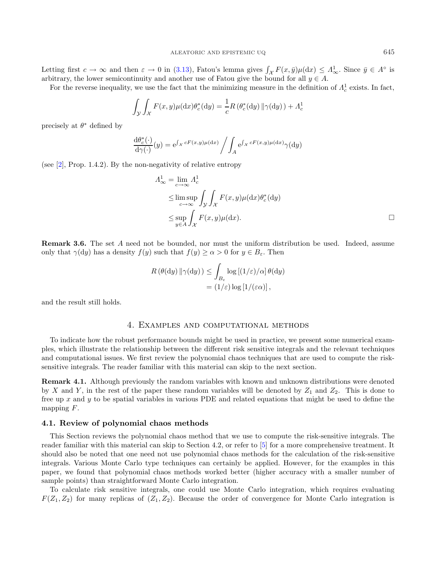Letting first  $c \to \infty$  and then  $\varepsilon \to 0$  in [\(3.13\)](#page-9-1), Fatou's lemma gives  $\int_{\mathcal{X}} F(x, \bar{y}) \mu(\mathrm{d}x) \leq \Lambda^1_{\infty}$ . Since  $\bar{y} \in A^{\circ}$  is arbitrary, the lower semicontinuity and another use of Fatou give the bound for all  $y \in A$ .

For the reverse inequality, we use the fact that the minimizing measure in the definition of  $\Lambda_c^1$  exists. In fact,

$$
\int_{\mathcal{Y}} \int_{\mathcal{X}} F(x, y) \mu(\mathrm{d}x) \theta_c^*(\mathrm{d}y) = \frac{1}{c} R \left( \theta_c^*(\mathrm{d}y) \left\| \gamma(\mathrm{d}y) \right. \right) + \Lambda_c^1
$$

precisely at  $\theta^*$  defined by

$$
\frac{d\theta_c^*(\cdot)}{d\gamma(\cdot)}(y) = e^{\int_{\mathcal{X}} cF(x,y)\mu(\mathrm{d}x)} / \int_{A} e^{\int_{\mathcal{X}} cF(x,y)\mu(\mathrm{d}x)} \gamma(\mathrm{d}y)
$$

(see [\[2\]](#page-27-2), Prop. 1.4.2). By the non-negativity of relative entropy

$$
A_{\infty}^{1} = \lim_{c \to \infty} A_{c}^{1}
$$
  
\n
$$
\leq \limsup_{c \to \infty} \int_{\mathcal{Y}} \int_{\mathcal{X}} F(x, y) \mu(\mathrm{d}x) \theta_{c}^{*}(\mathrm{d}y)
$$
  
\n
$$
\leq \sup_{y \in A} \int_{\mathcal{X}} F(x, y) \mu(\mathrm{d}x).
$$

**Remark 3.6.** The set A need not be bounded, nor must the uniform distribution be used. Indeed, assume only that  $\gamma(dy)$  has a density  $f(y)$  such that  $f(y) \ge \alpha > 0$  for  $y \in B_{\varepsilon}$ . Then

$$
R(\theta(\mathrm{d}y) \| \gamma(\mathrm{d}y)) \le \int_{B_{\varepsilon}} \log \left[ (1/\varepsilon) / \alpha \right] \theta(\mathrm{d}y)
$$

$$
= (1/\varepsilon) \log \left[ 1 / (\varepsilon \alpha) \right],
$$

and the result still holds.

#### 4. Examples and computational methods

To indicate how the robust performance bounds might be used in practice, we present some numerical examples, which illustrate the relationship between the different risk sensitive integrals and the relevant techniques and computational issues. We first review the polynomial chaos techniques that are used to compute the risksensitive integrals. The reader familiar with this material can skip to the next section.

**Remark 4.1.** Although previously the random variables with known and unknown distributions were denoted by X and Y, in the rest of the paper these random variables will be denoted by  $Z_1$  and  $Z_2$ . This is done to free up x and y to be spatial variables in various PDE and related equations that might be used to define the mapping F.

### **4.1. Review of polynomial chaos methods**

This Section reviews the polynomial chaos method that we use to compute the risk-sensitive integrals. The reader familiar with this material can skip to Section 4.2, or refer to [\[5\]](#page-27-4) for a more comprehensive treatment. It should also be noted that one need not use polynomial chaos methods for the calculation of the risk-sensitive integrals. Various Monte Carlo type techniques can certainly be applied. However, for the examples in this paper, we found that polynomial chaos methods worked better (higher accuracy with a smaller number of sample points) than straightforward Monte Carlo integration.

To calculate risk sensitive integrals, one could use Monte Carlo integration, which requires evaluating  $F(Z_1, Z_2)$  for many replicas of  $(Z_1, Z_2)$ . Because the order of convergence for Monte Carlo integration is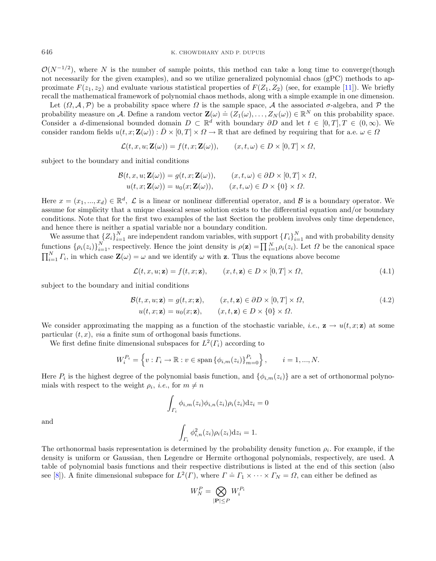646 K. CHOWDHARY AND P. DUPUIS

 $\mathcal{O}(N^{-1/2})$ , where N is the number of sample points, this method can take a long time to converge(though not necessarily for the given examples), and so we utilize generalized polynomial chaos (gPC) methods to approximate  $F(z_1, z_2)$  and evaluate various statistical properties of  $F(Z_1, Z_2)$  (see, for example [\[11\]](#page-27-5)). We briefly recall the mathematical framework of polynomial chaos methods, along with a simple example in one dimension.

Let  $(\Omega, \mathcal{A}, \mathcal{P})$  be a probability space where  $\Omega$  is the sample space,  $\mathcal{A}$  the associated  $\sigma$ -algebra, and  $\mathcal{P}$  the probability measure on A. Define a random vector  $\mathbf{Z}(\omega) \doteq (Z_1(\omega), \dots, Z_N(\omega)) \in \mathbb{R}^N$  on this probability space. Consider a d-dimensional bounded domain  $D \subset \mathbb{R}^d$  with boundary  $\partial D$  and let  $t \in [0, T], T \in (0, \infty)$ . We consider random fields  $u(t, x; \mathbf{Z}(\omega)) : \overline{D} \times [0, T] \times \Omega \to \mathbb{R}$  that are defined by requiring that for a.e.  $\omega \in \Omega$ 

$$
\mathcal{L}(t, x, u; \mathbf{Z}(\omega)) = f(t, x; \mathbf{Z}(\omega)), \qquad (x, t, \omega) \in D \times [0, T] \times \Omega,
$$

subject to the boundary and initial conditions

$$
\mathcal{B}(t, x, u; \mathbf{Z}(\omega)) = g(t, x; \mathbf{Z}(\omega)), \qquad (x, t, \omega) \in \partial D \times [0, T] \times \Omega,
$$
  

$$
u(t, x; \mathbf{Z}(\omega)) = u_0(x; \mathbf{Z}(\omega)), \qquad (x, t, \omega) \in D \times \{0\} \times \Omega.
$$

Here  $x = (x_1, ..., x_d) \in \mathbb{R}^d$ ,  $\mathcal{L}$  is a linear or nonlinear differential operator, and  $\mathcal{B}$  is a boundary operator. We assume for simplicity that a unique classical sense solution exists to the differential equation and/or boundary conditions. Note that for the first two examples of the last Section the problem involves only time dependence, and hence there is neither a spatial variable nor a boundary condition.

We assume that  ${Z_i}_{i=1}^N$  are independent random variables, with support  ${T_i}_{i=1}^N$  and with probability density functions  $\{\rho_i(z_i)\}_{i=1}^N$ , respectively. Hence the joint density is  $\rho(\mathbf{z}) = \prod_{i=1}^N \rho_i(z_i)$ . Let  $\Omega$  be the canonical space  $\prod_{i=1}^{N} \Gamma_i$ , in which case  $\mathbf{Z}(\omega) = \omega$  and we identify  $\omega$  with **z**. Thus the equations above become

$$
\mathcal{L}(t, x, u; \mathbf{z}) = f(t, x; \mathbf{z}), \qquad (x, t, \mathbf{z}) \in D \times [0, T] \times \Omega,
$$
\n
$$
(4.1)
$$

subject to the boundary and initial conditions

$$
\mathcal{B}(t, x, u; \mathbf{z}) = g(t, x; \mathbf{z}), \qquad (x, t, \mathbf{z}) \in \partial D \times [0, T] \times \Omega, u(t, x; \mathbf{z}) = u_0(x; \mathbf{z}), \qquad (x, t, \mathbf{z}) \in D \times \{0\} \times \Omega.
$$
\n
$$
(4.2)
$$

We consider approximating the mapping as a function of the stochastic variable, *i.e.*,  $\mathbf{z} \to u(t, x; \mathbf{z})$  at some particular  $(t, x)$ , *via* a finite sum of orthogonal basis functions.

We first define finite dimensional subspaces for  $L^2(\Gamma_i)$  according to

$$
W_i^{P_i} = \left\{ v : \Gamma_i \to \mathbb{R} : v \in \text{span}\left\{ \phi_{i,m}(z_i) \right\}_{m=0}^{P_i} \right\}, \qquad i = 1, ..., N.
$$

Here  $P_i$  is the highest degree of the polynomial basis function, and  $\{\phi_{i,m}(z_i)\}\$  are a set of orthonormal polynomials with respect to the weight  $\rho_i$ , *i.e.*, for  $m \neq n$ 

$$
\int_{\Gamma_i} \phi_{i,m}(z_i)\phi_{i,n}(z_i)\rho_i(z_i)dz_i = 0
$$

$$
\int \phi_{i,n}^2(z_i)\rho_i(z_i)dz_i = 1.
$$

and

The orthonormal basis representation is determined by the probability density function  $\rho_i$ . For example, if the density is uniform or Gaussian, then Legendre or Hermite orthogonal polynomials, respectively, are used. A table of polynomial basis functions and their respective distributions is listed at the end of this section (also see [\[8\]](#page-27-6)). A finite dimensional subspace for  $L^2(\Gamma)$ , where  $\Gamma = \Gamma_1 \times \cdots \times \Gamma_N = \Omega$ , can either be defined as

 $\Gamma_i$ 

$$
W_N^P=\bigotimes_{|\mathbf{P}|\leq P} W_i^{P_i}
$$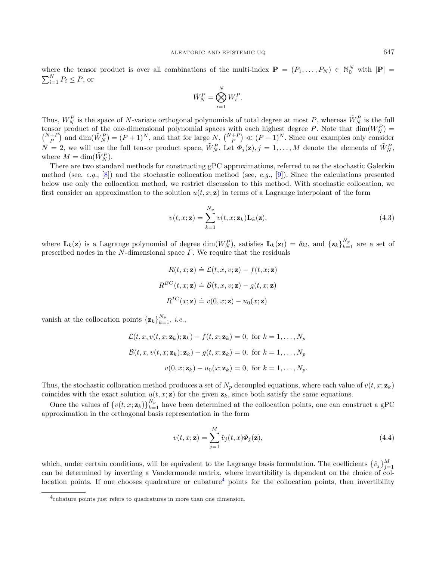where the tensor product is over all combinations of the multi-index  $P = (P_1, \ldots, P_N) \in \mathbb{N}_0^N$  with  $|P|$  $\sum_{i=1}^{N} P_i \leq P$ , or

$$
\tilde{W}_N^P = \bigotimes_{i=1}^N W_i^P.
$$

Thus,  $W_N^P$  is the space of N-variate orthogonal polynomials of total degree at most P, whereas  $\tilde{W}_N^P$  is the full tensor product of the one-dimensional polynomial spaces with each highest degree P. Note that  $\dim(W_N^P)$  $\binom{N+P}{P}$  and dim $(\tilde{W}_{N}^{P}) = (P+1)^{N}$ , and that for large N,  $\binom{N+P}{P} \ll (P+1)^{N}$ . Since our examples only consider  $N = 2$ , we will use the full tensor product space,  $\tilde{W}_{N}^{P}$ . Let  $\Phi_{j}(\mathbf{z}), j = 1, \ldots, M$  denote the elements of  $\tilde{W}_{N}^{P}$ , where  $M = \dim(\tilde{W}_N^P)$ .

There are two standard methods for constructing gPC approximations, referred to as the stochastic Galerkin method (see, *e.g.*, [\[8](#page-27-6)]) and the stochastic collocation method (see, *e.g.*, [\[9](#page-27-7)]). Since the calculations presented below use only the collocation method, we restrict discussion to this method. With stochastic collocation, we first consider an approximation to the solution  $u(t, x; z)$  in terms of a Lagrange interpolant of the form

$$
v(t, x; \mathbf{z}) = \sum_{k=1}^{N_p} v(t, x; \mathbf{z}_k) \mathbf{L}_k(\mathbf{z}),
$$
\n(4.3)

where  $\mathbf{L}_k(\mathbf{z})$  is a Lagrange polynomial of degree  $\dim(W_N^P)$ , satisfies  $\mathbf{L}_k(\mathbf{z}_l) = \delta_{kl}$ , and  $\{\mathbf{z}_k\}_{k=1}^{N_p}$  are a set of prescribed nodes in the N-dimensional space Γ. We require that the residuals

<span id="page-12-1"></span>
$$
R(t, x; \mathbf{z}) \doteq \mathcal{L}(t, x, v; \mathbf{z}) - f(t, x; \mathbf{z})
$$

$$
R^{BC}(t, x; \mathbf{z}) \doteq \mathcal{B}(t, x, v; \mathbf{z}) - g(t, x; \mathbf{z})
$$

$$
R^{IC}(x; \mathbf{z}) \doteq v(0, x; \mathbf{z}) - u_0(x; \mathbf{z})
$$

vanish at the collocation points  ${\mathbf{z}_k}_{k=1}^{N_p}$ , *i.e.*,

$$
\mathcal{L}(t, x, v(t, x; \mathbf{z}_k); \mathbf{z}_k) - f(t, x; \mathbf{z}_k) = 0, \text{ for } k = 1, ..., N_p
$$
  

$$
\mathcal{B}(t, x, v(t, x; \mathbf{z}_k); \mathbf{z}_k) - g(t, x; \mathbf{z}_k) = 0, \text{ for } k = 1, ..., N_p
$$
  

$$
v(0, x; \mathbf{z}_k) - u_0(x; \mathbf{z}_k) = 0, \text{ for } k = 1, ..., N_p.
$$

Thus, the stochastic collocation method produces a set of  $N_p$  decoupled equations, where each value of  $v(t, x; \mathbf{z}_k)$ coincides with the exact solution  $u(t, x; \mathbf{z})$  for the given  $\mathbf{z}_k$ , since both satisfy the same equations.

<span id="page-12-0"></span>Once the values of  $\{v(t, x; \mathbf{z}_k)\}_{k=1}^{N_p}$  have been determined at the collocation points, one can construct a gPC approximation in the orthogonal basis representation in the form

$$
v(t, x; \mathbf{z}) = \sum_{j=1}^{M} \hat{v}_j(t, x) \Phi_j(\mathbf{z}),
$$
\n(4.4)

which, under certain conditions, will be equivalent to the Lagrange basis formulation. The coefficients  $\{\hat{v}_j\}_{j=1}^M$  $i=1$ can be determined by inverting a Vandermonde matrix, where invertibility is dependent on the choice of col-location points. If one chooses quadrature or cubature<sup>[4](#page-12-0)</sup> points for the collocation points, then invertibility

<span id="page-12-2"></span>

<sup>&</sup>lt;sup>4</sup>cubature points just refers to quadratures in more than one dimension.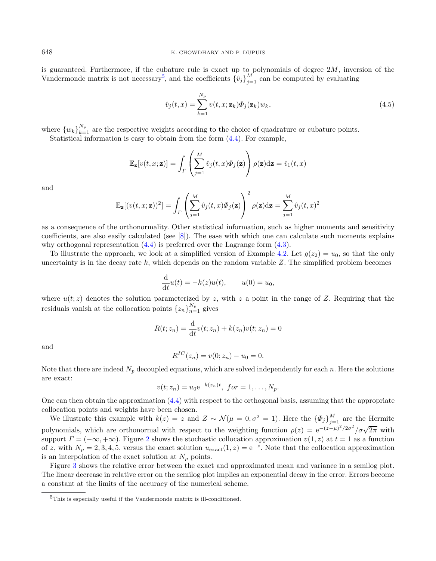is guaranteed. Furthermore, if the cubature rule is exact up to polynomials of degree  $2M$ , inversion of the Vandermonde matrix is not necessary<sup>[5](#page-13-0)</sup>, and the coefficients  $\{\hat{v}_j\}_{j=1}^M$  can be computed by evaluating

<span id="page-13-1"></span>
$$
\hat{v}_j(t,x) = \sum_{k=1}^{N_p} v(t,x;\mathbf{z}_k) \Phi_j(\mathbf{z}_k) w_k,
$$
\n(4.5)

where  ${w_k}_{k=1}^{N_p}$  are the respective weights according to the choice of quadrature or cubature points. Statistical information is easy to obtain from the form [\(4.4\)](#page-12-1). For example,

$$
\mathbb{E}_{\mathbf{z}}[v(t,x;\mathbf{z})] = \int_{\Gamma} \left( \sum_{j=1}^{M} \hat{v}_j(t,x) \Phi_j(\mathbf{z}) \right) \rho(\mathbf{z}) d\mathbf{z} = \hat{v}_1(t,x)
$$

and

$$
\mathbb{E}_\mathbf{z}[(v(t,x;\mathbf{z}))^2] = \int_\varGamma \left(\sum_{j=1}^M \hat{v}_j(t,x) \varPhi_j(\mathbf{z})\right)^2 \rho(\mathbf{z}) \mathrm{d}\mathbf{z} = \sum_{j=1}^M \hat{v}_j(t,x)^2
$$

as a consequence of the orthonormality. Other statistical information, such as higher moments and sensitivity coefficients, are also easily calculated (see [\[8](#page-27-6)]). The ease with which one can calculate such moments explains why orthogonal representation  $(4.4)$  is preferred over the Lagrange form  $(4.3)$ .

To illustrate the approach, we look at a simplified version of Example [4.2.](#page-16-0) Let  $g(z_2) = u_0$ , so that the only uncertainty is in the decay rate  $k$ , which depends on the random variable  $Z$ . The simplified problem becomes

$$
\frac{\mathrm{d}}{\mathrm{d}t}u(t) = -k(z)u(t), \qquad u(0) = u_0,
$$

where  $u(t; z)$  denotes the solution parameterized by z, with z a point in the range of Z. Requiring that the residuals vanish at the collocation points  $\{z_n\}_{n=1}^{N_p}$  gives

$$
R(t; z_n) = \frac{\mathrm{d}}{\mathrm{d}t}v(t; z_n) + k(z_n)v(t; z_n) = 0
$$

and

$$
R^{IC}(z_n) = v(0; z_n) - u_0 = 0.
$$

Note that there are indeed  $N_p$  decoupled equations, which are solved independently for each n. Here the solutions are exact:

$$
v(t; z_n) = u_0 e^{-k(z_n)t}
$$
, for  $= 1, ..., N_p$ .

<span id="page-13-0"></span>One can then obtain the approximation  $(4.4)$  with respect to the orthogonal basis, assuming that the appropriate collocation points and weights have been chosen.

We illustrate this example with  $k(z) = z$  and  $Z \sim \mathcal{N}(\mu = 0, \sigma^2 = 1)$ . Here the  $\{\Phi_j\}_{j=1}^M$  are the Hermite polynomials, which are orthonormal with respect to the weighting function  $\rho(z)=e^{-(z-\mu)^2/2\sigma^2}/\sigma\sqrt{2\pi}$  with support  $\Gamma = (-\infty, +\infty)$ . Figure [2](#page-14-0) shows the stochastic collocation approximation  $v(1, z)$  at  $t = 1$  as a function of z, with  $N_p = 2, 3, 4, 5$ , versus the exact solution  $u_{\text{exact}}(1, z) = e^{-z}$ . Note that the collocation approximation is an interpolation of the exact solution at  $N_p$  points.

Figure [3](#page-14-1) shows the relative error between the exact and approximated mean and variance in a semilog plot. The linear decrease in relative error on the semilog plot implies an exponential decay in the error. Errors become a constant at the limits of the accuracy of the numerical scheme.

<sup>5</sup>This is especially useful if the Vandermonde matrix is ill-conditioned.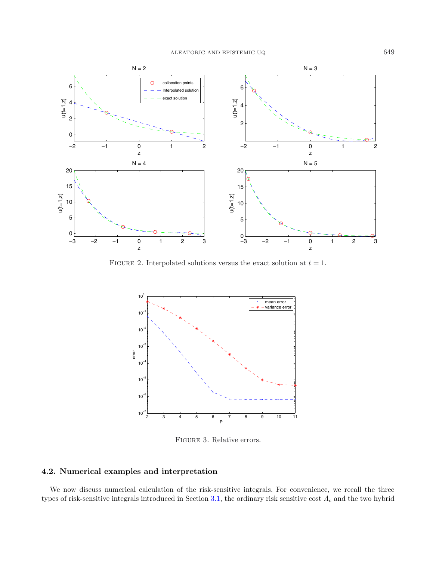

<span id="page-14-0"></span>FIGURE 2. Interpolated solutions versus the exact solution at  $t = 1$ .

<span id="page-14-1"></span>

Figure 3. Relative errors.

## **4.2. Numerical examples and interpretation**

We now discuss numerical calculation of the risk-sensitive integrals. For convenience, we recall the three types of risk-sensitive integrals introduced in Section [3.1,](#page-3-3) the ordinary risk sensitive cost  $\Lambda_c$  and the two hybrid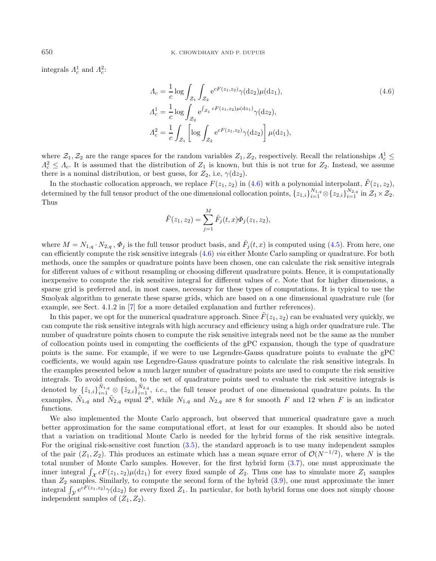integrals  $\Lambda_c^1$  and  $\Lambda_c^2$ :

<span id="page-15-0"></span>
$$
A_c = \frac{1}{c} \log \int_{\mathcal{Z}_1} \int_{\mathcal{Z}_2} e^{cF(z_1, z_2)} \gamma(\mathrm{d}z_2) \mu(\mathrm{d}z_1),
$$
  
\n
$$
A_c^1 = \frac{1}{c} \log \int_{\mathcal{Z}_2} e^{\int_{\mathcal{Z}_1} cF(z_1, z_2) \mu(\mathrm{d}z_1)} \gamma(\mathrm{d}z_2),
$$
  
\n
$$
A_c^2 = \frac{1}{c} \int_{\mathcal{Z}_1} \left[ \log \int_{\mathcal{Z}_2} e^{cF(z_1, z_2)} \gamma(\mathrm{d}z_2) \right] \mu(\mathrm{d}z_1),
$$
\n(4.6)

where  $\mathcal{Z}_1, \mathcal{Z}_2$  are the range spaces for the random variables  $Z_1, Z_2$ , respectively. Recall the relationships  $\Lambda_c^1 \leq$  $\Lambda_c^2 \leq \Lambda_c$ . It is assumed that the distribution of  $Z_1$  is known, but this is not true for  $Z_2$ . Instead, we assume there is a nominal distribution, or best guess, for  $Z_2$ , i.e,  $\gamma(\mathrm{d}z_2)$ .

In the stochastic collocation approach, we replace  $F(z_1, z_2)$  in [\(4.6\)](#page-15-0) with a polynomial interpolant,  $\tilde{F}(z_1, z_2)$ , determined by the full tensor product of the one dimensional collocation points,  $\{z_{1,i}\}_{i=1}^{N_{1,q}} \otimes \{z_{2,i}\}_{i=1}^{N_{2,q}}$  in  $\mathcal{Z}_1 \times \mathcal{Z}_2$ . Thus

$$
\tilde{F}(z_1, z_2) = \sum_{j=1}^{M} \hat{F}_j(t, x) \Phi_j(z_1, z_2),
$$

where  $M = N_{1,q} \cdot N_{2,q}$ ,  $\Phi_j$  is the full tensor product basis, and  $\hat{F}_j(t,x)$  is computed using [\(4.5\)](#page-13-1). From here, one can efficiently compute the risk sensitive integrals [\(4.6\)](#page-15-0) *via* either Monte Carlo sampling or quadrature. For both methods, once the samples or quadrature points have been chosen, one can calculate the risk sensitive integrals for different values of c without resampling or choosing different quadrature points. Hence, it is computationally inexpensive to compute the risk sensitive integral for different values of c. Note that for higher dimensions, a sparse grid is preferred and, in most cases, necessary for these types of computations. It is typical to use the Smolyak algorithm to generate these sparse grids, which are based on a one dimensional quadrature rule (for example, see Sect. 4.1.2 in [\[7](#page-27-8)] for a more detailed explanation and further references).

In this paper, we opt for the numerical quadrature approach. Since  $\tilde{F}(z_1, z_2)$  can be evaluated very quickly, we can compute the risk sensitive integrals with high accuracy and efficiency using a high order quadrature rule. The number of quadrature points chosen to compute the risk sensitive integrals need not be the same as the number of collocation points used in computing the coefficients of the gPC expansion, though the type of quadrature points is the same. For example, if we were to use Legendre-Gauss quadrature points to evaluate the gPC coefficients, we would again use Legendre-Gauss quadrature points to calculate the risk sensitive integrals. In the examples presented below a much larger number of quadrature points are used to compute the risk sensitive integrals. To avoid confusion, to the set of quadrature points used to evaluate the risk sensitive integrals is denoted by  $\{\tilde{z}_{1,i}\}_{i=1}^{\tilde{N}_{1,q}} \otimes \{\tilde{z}_{2,i}\}_{i=1}^{\tilde{N}_{2,q}}$ , *i.e.*, the full tensor product of one dimensional quadrature points. In the examples,  $\tilde{N}_{1,q}$  and  $\tilde{N}_{2,q}$  equal  $2^8$ , while  $N_{1,q}$  and  $N_{2,q}$  are 8 for smooth F and 12 when F is an indicator functions.

We also implemented the Monte Carlo approach, but observed that numerical quadrature gave a much better approximation for the same computational effort, at least for our examples. It should also be noted that a variation on traditional Monte Carlo is needed for the hybrid forms of the risk sensitive integrals. For the original risk-sensitive cost function [\(3.5\)](#page-4-2), the standard approach is to use many independent samples of the pair  $(Z_1, Z_2)$ . This produces an estimate which has a mean square error of  $\mathcal{O}(N^{-1/2})$ , where N is the total number of Monte Carlo samples. However, for the first hybrid form [\(3.7\)](#page-4-5), one must approximate the inner integral  $\int_{\mathcal{X}} cF(z_1, z_2)\mu(\text{d}z_1)$  for every fixed sample of  $Z_2$ . Thus one has to simulate more  $Z_1$  samples than  $Z_2$  samples. Similarly, to compute the second form of the hybrid  $(3.9)$ , one must approximate the inner integral  $\int_{\mathcal{Y}} e^{cF(z_1,z_2)} \gamma(dz_2)$  for every fixed  $Z_1$ . In particular, for both hybrid forms one does not simply choose independent samples of  $(Z_1, Z_2)$ .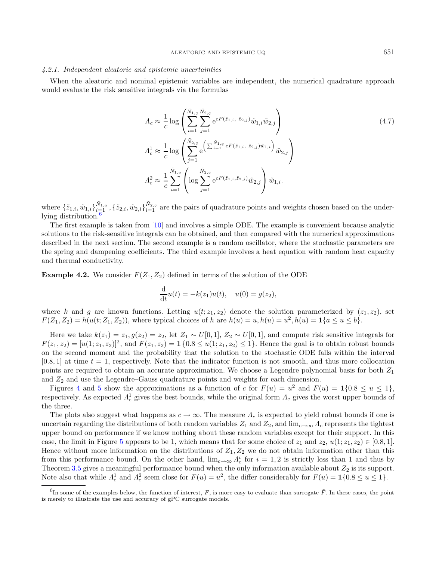#### *4.2.1. Independent aleatoric and epistemic uncertainties*

When the aleatoric and nominal epistemic variables are independent, the numerical quadrature approach would evaluate the risk sensitive integrals via the formulas

<span id="page-16-2"></span>
$$
A_c \approx \frac{1}{c} \log \left( \sum_{i=1}^{\tilde{N}_{1,q}} \sum_{j=1}^{\tilde{N}_{2,q}} e^{cF(\tilde{z}_{1,i}, \tilde{z}_{2,j})} \tilde{w}_{1,i} \tilde{w}_{2,j} \right)
$$
  
\n
$$
A_c^1 \approx \frac{1}{c} \log \left( \sum_{j=1}^{\tilde{N}_{2,q}} e^{\left( \sum_{i=1}^{\tilde{N}_{1,q}} cF(\tilde{z}_{1,i}, \tilde{z}_{2,j}) \tilde{w}_{1,i} \right)} \tilde{w}_{2,j} \right)
$$
  
\n
$$
A_c^2 \approx \frac{1}{c} \sum_{i=1}^{\tilde{N}_{1,q}} \left( \log \sum_{j=1}^{\tilde{N}_{2,q}} e^{cF(\tilde{z}_{1,i}, \tilde{z}_{2,j})} \tilde{w}_{2,j} \right) \tilde{w}_{1,i}.
$$
\n
$$
(4.7)
$$

where  $\{\tilde{z}_{1,i}, \tilde{w}_{1,i}\}_{i=1}^{\tilde{N}_{1,q}}, \{\tilde{z}_{2,i}, \tilde{w}_{2,i}\}_{i=1}^{\tilde{N}_{2,q}}$  are the pairs of quadrature points and weights chosen based on the under-lying distribution.<sup>[6](#page-16-1)</sup>

The first example is taken from [\[10](#page-27-9)] and involves a simple ODE. The example is convenient because analytic solutions to the risk-sensitive integrals can be obtained, and then compared with the numerical approximations described in the next section. The second example is a random oscillator, where the stochastic parameters are the spring and dampening coefficients. The third example involves a heat equation with random heat capacity and thermal conductivity.

<span id="page-16-0"></span>**Example 4.2.** We consider  $F(Z_1, Z_2)$  defined in terms of the solution of the ODE

$$
\frac{d}{dt}u(t) = -k(z_1)u(t), \quad u(0) = g(z_2),
$$

where k and g are known functions. Letting  $u(t; z_1, z_2)$  denote the solution parameterized by  $(z_1, z_2)$ , set  $F(Z_1, Z_2) = h(u(t; Z_1, Z_2))$ , where typical choices of h are  $h(u) = u, h(u) = u^2, h(u) = 1\{a \le u \le b\}$ .

Here we take  $k(z_1) = z_1, g(z_2) = z_2$ , let  $Z_1 \sim U[0, 1], Z_2 \sim U[0, 1]$ , and compute risk sensitive integrals for  $F(z_1, z_2) = [u(1; z_1, z_2)]^2$ , and  $F(z_1, z_2) = 1$  {0.8  $\le u(1; z_1, z_2) \le 1$ }. Hence the goal is to obtain robust bounds on the second moment and the probability that the solution to the stochastic ODE falls within the interval  $[0.8, 1]$  at time  $t = 1$ , respectively. Note that the indicator function is not smooth, and thus more collocation points are required to obtain an accurate approximation. We choose a Legendre polynomial basis for both  $Z_1$ and  $Z_2$  and use the Legendre–Gauss quadrature points and weights for each dimension.

<span id="page-16-1"></span>Figures [4](#page-17-0) and [5](#page-17-1) show the approximations as a function of c for  $F(u) = u^2$  and  $F(u) = 1\{0.8 \le u \le 1\}$ , respectively. As expected  $\Lambda_c^1$  gives the best bounds, while the original form  $\Lambda_c$  gives the worst upper bounds of the three.

The plots also suggest what happens as  $c \to \infty$ . The measure  $\Lambda_c$  is expected to yield robust bounds if one is uncertain regarding the distributions of both random variables  $Z_1$  and  $Z_2$ , and  $\lim_{c\to\infty} \Lambda_c$  represents the tightest upper bound on performance if we know nothing about these random variables except for their support. In this case, the limit in Figure [5](#page-17-1) appears to be 1, which means that for some choice of  $z_1$  and  $z_2$ ,  $u(1; z_1, z_2) \in [0.8, 1]$ . Hence without more information on the distributions of  $Z_1, Z_2$  we do not obtain information other than this from this performance bound. On the other hand,  $\lim_{c\to\infty} A_c^i$  for  $i = 1, 2$  is strictly less than 1 and thus by Theorem [3.5](#page-9-2) gives a meaningful performance bound when the only information available about  $Z_2$  is its support. Note also that while  $\Lambda_c^1$  and  $\Lambda_c^2$  seem close for  $F(u) = u^2$ , the differ considerably for  $F(u) = \mathbf{1}\{0.8 \le u \le 1\}$ .

<sup>&</sup>lt;sup>6</sup>In some of the examples below, the function of interest,  $F$ , is more easy to evaluate than surrogate  $\tilde{F}$ . In these cases, the point is merely to illustrate the use and accuracy of gPC surrogate models.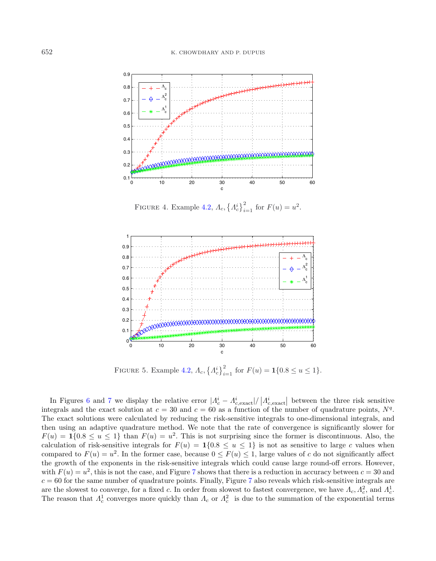<span id="page-17-0"></span>

FIGURE 4. Example [4.2,](#page-16-0)  $\Lambda_c$ ,  $\left\{\Lambda_c^i\right\}_{i=1}^2$  for  $F(u) = u^2$ .

<span id="page-17-1"></span>

FIGURE 5. Example [4.2,](#page-16-0)  $\Lambda_c$ ,  $\left\{\Lambda_c^i\right\}_{i=1}^2$  for  $F(u) = \mathbf{1}\{0.8 \le u \le 1\}.$ 

In Figures [6](#page-18-0) and [7](#page-18-1) we display the relative error  $|A_c^i - A_c^i| \ge |A_c^i|$  between the three risk sensitive integrals and the exact solution at  $c = 30$  and  $c = 60$  as a function of the number of quadrature points,  $N<sup>q</sup>$ . The exact solutions were calculated by reducing the risk-sensitive integrals to one-dimensional integrals, and then using an adaptive quadrature method. We note that the rate of convergence is significantly slower for  $F(u) = 1\{0.8 \le u \le 1\}$  than  $F(u) = u^2$ . This is not surprising since the former is discontinuous. Also, the calculation of risk-sensitive integrals for  $F(u) = 1\{0.8 \le u \le 1\}$  is not as sensitive to large c values when compared to  $F(u) = u^2$ . In the former case, because  $0 \leq F(u) \leq 1$ , large values of c do not significantly affect the growth of the exponents in the risk-sensitive integrals which could cause large round-off errors. However, with  $F(u) = u^2$ , this is not the case, and Figure [7](#page-18-1) shows that there is a reduction in accuracy between  $c = 30$  and  $c = 60$  for the same number of quadrature points. Finally, Figure [7](#page-18-1) also reveals which risk-sensitive integrals are are the slowest to converge, for a fixed c. In order from slowest to fastest convergence, we have  $\Lambda_c, \Lambda_c^2$ , and  $\Lambda_c^1$ . The reason that  $\Lambda_c^1$  converges more quickly than  $\Lambda_c$  or  $\Lambda_c^2$  is due to the summation of the exponential terms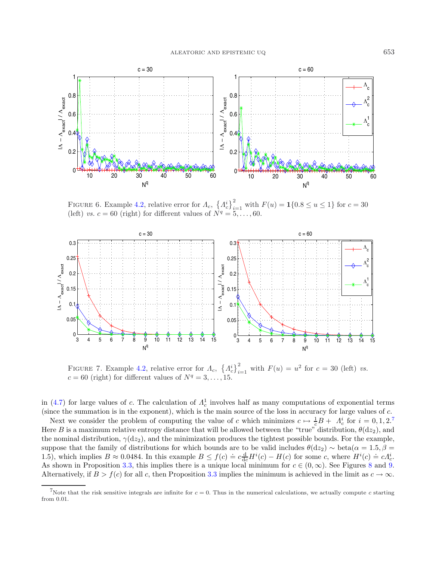<span id="page-18-0"></span>

FIGURE 6. Example [4.2,](#page-16-0) relative error for  $\Lambda_c$ ,  $\left\{\Lambda_c^i\right\}_{i=1}^2$  with  $F(u) = \mathbf{1}\{0.8 \le u \le 1\}$  for  $c = 30$ (left) *vs.*  $c = 60$  (right) for different values of  $N^q = 5, \ldots, 60$ .

<span id="page-18-1"></span>

FIGURE 7. Example [4.2,](#page-16-0) relative error for  $\Lambda_c$ ,  $\left\{\Lambda_c^i\right\}_{i=1}^2$  with  $F(u) = u^2$  for  $c = 30$  (left) *vs.*  $c = 60$  (right) for different values of  $N<sup>q</sup> = 3, \ldots, 15$ .

<span id="page-18-2"></span>in [\(4.7\)](#page-16-2) for large values of c. The calculation of  $\Lambda_c^1$  involves half as many computations of exponential terms (since the summation is in the exponent), which is the main source of the loss in accuracy for large values of c.

Next we consider the problem of computing the value of c which minimizes  $c \mapsto \frac{1}{c}B + A_c^i$  for  $i = 0, 1, 2$ . Here B is a maximum relative entropy distance that will be allowed between the "true" distribution,  $\theta$ (dz<sub>2</sub>), and the nominal distribution,  $\gamma(dz_2)$ , and the minimization produces the tightest possible bounds. For the example, suppose that the family of distributions for which bounds are to be valid includes  $\theta(\text{d}z_2) \sim \text{beta}(\alpha = 1.5, \beta = 1.5)$ 1.5), which implies  $B \approx 0.0484$ . In this example  $B \le f(c) \doteq c \frac{d}{dc} H^{i}(c) - H(c)$  for some c, where  $H^{i}(c) \doteq c \Lambda_{c}^{i}$ . As shown in Proposition [3.3,](#page-6-0) this implies there is a unique local minimum for  $c \in (0,\infty)$ . See Figures [8](#page-19-0) and [9.](#page-19-1) Alternatively, if  $B>f(c)$  for all c, then Proposition [3.3](#page-6-0) implies the minimum is achieved in the limit as  $c \to \infty$ .

<sup>&</sup>lt;sup>7</sup>Note that the risk sensitive integrals are infinite for  $c = 0$ . Thus in the numerical calculations, we actually compute *c* starting from 0*.*01.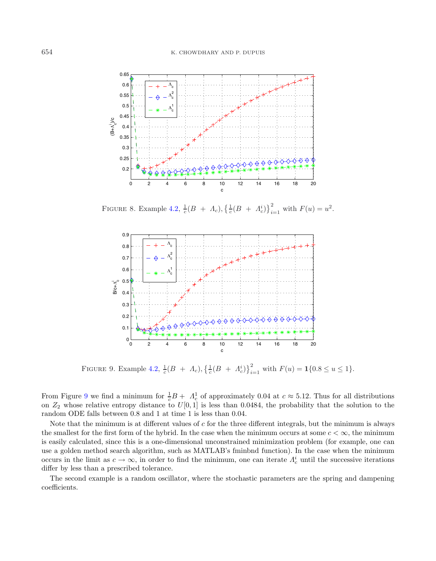<span id="page-19-0"></span>

FIGURE 8. Example [4.2,](#page-16-0)  $\frac{1}{c}(B + A_c), \left\{ \frac{1}{c}(B + A_c^i) \right\}_{i=1}^2$  with  $F(u) = u^2$ .

<span id="page-19-1"></span>

FIGURE 9. Example [4.2,](#page-16-0)  $\frac{1}{c}(B + \Lambda_c), \left\{ \frac{1}{c}(B + \Lambda_c^i) \right\}_{i=1}^2$  with  $F(u) = \mathbf{1}\{0.8 \le u \le 1\}.$ 

From Figure [9](#page-19-1) we find a minimum for  $\frac{1}{c}B + A_c^1$  of approximately 0.04 at  $c \approx 5.12$ . Thus for all distributions on  $Z_2$  whose relative entropy distance to  $U[0, 1]$  is less than 0.0484, the probability that the solution to the random ODE falls between 0.8 and 1 at time 1 is less than 0.04.

Note that the minimum is at different values of  $c$  for the three different integrals, but the minimum is always the smallest for the first form of the hybrid. In the case when the minimum occurs at some  $c < \infty$ , the minimum is easily calculated, since this is a one-dimensional unconstrained minimization problem (for example, one can use a golden method search algorithm, such as MATLAB's fminbnd function). In the case when the minimum occurs in the limit as  $c \to \infty$ , in order to find the minimum, one can iterate  $\Lambda_c^i$  until the successive iterations differ by less than a prescribed tolerance.

<span id="page-19-2"></span>The second example is a random oscillator, where the stochastic parameters are the spring and dampening coefficients.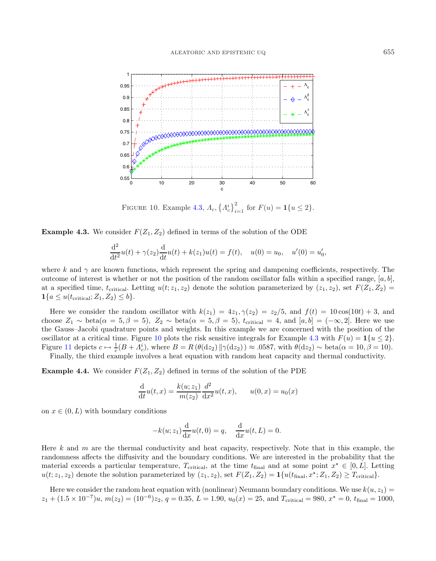<span id="page-20-0"></span>

FIGURE 10. Example [4.3,](#page-19-2)  $\Lambda_c$ ,  $\left\{\Lambda_c^i\right\}_{i=1}^2$  for  $F(u) = \mathbf{1}\{u \leq 2\}.$ 

**Example 4.3.** We consider  $F(Z_1, Z_2)$  defined in terms of the solution of the ODE

$$
\frac{d^2}{dt^2}u(t) + \gamma(z_2)\frac{d}{dt}u(t) + k(z_1)u(t) = f(t), \quad u(0) = u_0, \quad u'(0) = u'_0,
$$

where k and  $\gamma$  are known functions, which represent the spring and dampening coefficients, respectively. The outcome of interest is whether or not the position of the random oscillator falls within a specified range,  $[a, b]$ , at a specified time,  $t_{\text{critical}}$ . Letting  $u(t; z_1, z_2)$  denote the solution parameterized by  $(z_1, z_2)$ , set  $F(Z_1, Z_2)$  =  $\mathbf{1}{a \leq u(t_{\text{critical}}; Z_1, Z_2) \leq b}$ .

Here we consider the random oscillator with  $k(z_1)=4z_1, \gamma(z_2)=z_2/5$ , and  $f(t) = 10 \cos(10t) + 3$ , and choose  $Z_1 \sim \text{beta}(\alpha = 5, \beta = 5)$ ,  $Z_2 \sim \text{beta}(\alpha = 5, \beta = 5)$ ,  $t_{critical} = 4$ , and  $[a, b] = (-\infty, 2]$ . Here we use the Gauss–Jacobi quadrature points and weights. In this example we are concerned with the position of the oscillator at a critical time. Figure [10](#page-20-0) plots the risk sensitive integrals for Example [4.3](#page-19-2) with  $F(u) = \mathbf{1}\{u \leq 2\}$ . Figure [11](#page-21-1) depicts  $c \mapsto \frac{1}{c}(B + \Lambda_c^i)$ , where  $B = R(\theta(\mathrm{d}z_2) || \gamma(\mathrm{d}z_2)) \approx .0587$ , with  $\theta(\mathrm{d}z_2) \sim \text{beta}(\alpha = 10, \beta = 10)$ . Finally, the third example involves a heat equation with random heat capacity and thermal conductivity.

<span id="page-20-1"></span>**Example 4.4.** We consider  $F(Z_1, Z_2)$  defined in terms of the solution of the PDE

$$
\frac{d}{dt}u(t,x) = \frac{k(u; z_1)}{m(z_2)} \frac{d^2}{dx^2} u(t,x), \qquad u(0,x) = u_0(x)
$$

on  $x \in (0, L)$  with boundary conditions

$$
-k(u; z_1)\frac{d}{dx}u(t, 0) = q, \quad \frac{d}{dx}u(t, L) = 0.
$$

Here k and m are the thermal conductivity and heat capacity, respectively. Note that in this example, the randomness affects the diffusivity and the boundary conditions. We are interested in the probability that the material exceeds a particular temperature,  $T_{critical}$ , at the time  $t_{final}$  and at some point  $x^* \in [0, L]$ . Letting  $u(t; z_1, z_2)$  denote the solution parameterized by  $(z_1, z_2)$ , set  $F(Z_1, Z_2) = \mathbf{1}\{u(t_{\text{final}}, x^*; Z_1, Z_2) \geq T_{\text{critical}}\}$ .

Here we consider the random heat equation with (nonlinear) Neumann boundary conditions. We use  $k(u, z_1)$  $z_1 + (1.5 \times 10^{-7})u$ ,  $m(z_2) = (10^{-6})z_2$ ,  $q = 0.35$ ,  $L = 1.90$ ,  $u_0(x) = 25$ , and  $T_{critical} = 980$ ,  $x^* = 0$ ,  $t_{final} = 1000$ ,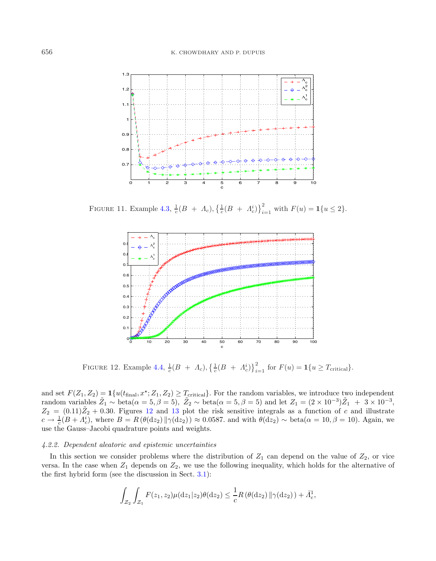<span id="page-21-1"></span>

FIGURE 11. Example [4.3,](#page-19-2)  $\frac{1}{c}(B + \Lambda_c), \left\{\frac{1}{c}(B + \Lambda_c^i)\right\}_{i=1}^2$  with  $F(u) = \mathbf{1}\{u \leq 2\}.$ 

<span id="page-21-2"></span>

FIGURE 12. Example [4.4,](#page-20-1)  $\frac{1}{c}(B + A_c), \left\{ \frac{1}{c}(B + A_c^i) \right\}_{i=1}^2$  for  $F(u) = \mathbf{1}\{u \geq T_{\text{critical}}\}.$ 

and set  $F(Z_1, Z_2) = \mathbf{1}\{u(t_{\text{final}}, x^*; Z_1, Z_2) \geq T_{\text{critical}}\}$ . For the random variables, we introduce two independent random variables  $\tilde{Z}_1 \sim \text{beta}(\alpha = 5, \beta = 5)$ ,  $\tilde{Z}_2 \sim \text{beta}(\alpha = 5, \beta = 5)$  and let  $Z_1 = (2 \times 10^{-3})\tilde{Z}_1 + 3 \times 10^{-3}$ ,  $Z_2 = (0.11)\tilde{Z}_2 + 0.30$ . Figures [12](#page-21-2) and [13](#page-22-0) plot the risk sensitive integrals as a function of c and illustrate  $c \to \frac{1}{c}(B + A_c^i)$ , where  $B = R(\theta(\text{d}z_2) || \gamma(\text{d}z_2)) \approx 0.0587$ . and with  $\theta(\text{d}z_2) \sim \text{beta}(\alpha = 10, \beta = 10)$ . Again, we use the Gauss–Jacobi quadrature points and weights.

#### <span id="page-21-0"></span>*4.2.2. Dependent aleatoric and epistemic uncertainties*

In this section we consider problems where the distribution of  $Z_1$  can depend on the value of  $Z_2$ , or vice versa. In the case when  $Z_1$  depends on  $Z_2$ , we use the following inequality, which holds for the alternative of the first hybrid form (see the discussion in Sect. [3.1\)](#page-3-3):

$$
\int_{\mathcal{Z}_2} \int_{\mathcal{Z}_1} F(z_1, z_2) \mu(\mathrm{d}z_1 | z_2) \theta(\mathrm{d}z_2) \leq \frac{1}{c} R \left( \theta(\mathrm{d}z_2) \|\gamma(\mathrm{d}z_2)\right) + \bar{A}_c^1,
$$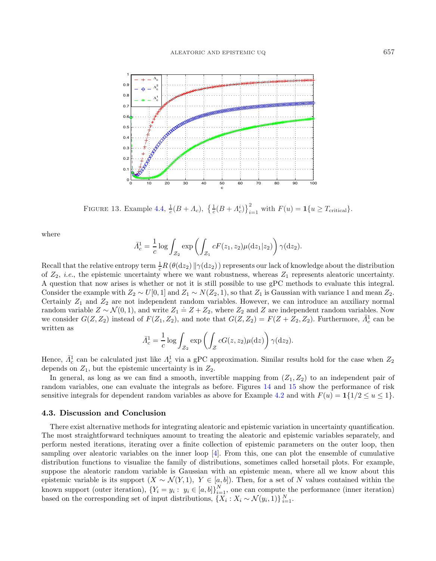<span id="page-22-0"></span>

FIGURE 13. Example [4.4,](#page-20-1)  $\frac{1}{c}(B + \Lambda_c)$ ,  $\left\{ \frac{1}{c}(B + \Lambda_c^i) \right\}_{i=1}^2$  with  $F(u) = \mathbf{1}\{u \geq T_{\text{critical}}\}.$ 

where

$$
\bar{A}_c^1 = -\frac{1}{c} \log \int_{\mathcal{Z}_2} \exp \left( \int_{\mathcal{Z}_1} c F(z_1, z_2) \mu(\mathrm{d}z_1 | z_2) \right) \gamma(\mathrm{d}z_2).
$$

Recall that the relative entropy term  $\frac{1}{c}R(\theta(\text{d}z_2)\|\gamma(\text{d}z_2))$  represents our lack of knowledge about the distribution of  $Z_2$ , *i.e.*, the epistemic uncertainty where we want robustness, whereas  $Z_1$  represents aleatoric uncertainty. A question that now arises is whether or not it is still possible to use gPC methods to evaluate this integral. Consider the example with  $Z_2 \sim U[0, 1]$  and  $Z_1 \sim N(Z_2, 1)$ , so that  $Z_1$  is Gaussian with variance 1 and mean  $Z_2$ . Certainly  $Z_1$  and  $Z_2$  are not independent random variables. However, we can introduce an auxiliary normal random variable  $Z \sim \mathcal{N}(0, 1)$ , and write  $Z_1 \doteq Z + Z_2$ , where  $Z_2$  and Z are independent random variables. Now we consider  $G(Z, Z_2)$  instead of  $F(Z_1, Z_2)$ , and note that  $G(Z, Z_2) = F(Z + Z_2, Z_2)$ . Furthermore,  $\overline{A}_c^1$  can be written as

$$
\bar{A}_c^1 = -\frac{1}{c} \log \int_{\mathcal{Z}_2} \exp \left( \int_{\mathcal{Z}} c G(z, z_2) \mu(\mathrm{d}z) \right) \gamma(\mathrm{d}z_2).
$$

Hence,  $\bar{A}_c^1$  can be calculated just like  $A_c^1$  via a gPC approximation. Similar results hold for the case when  $Z_2$ depends on  $Z_1$ , but the epistemic uncertainty is in  $Z_2$ .

In general, as long as we can find a smooth, invertible mapping from  $(Z_1, Z_2)$  to an independent pair of random variables, one can evaluate the integrals as before. Figures [14](#page-23-0) and [15](#page-23-1) show the performance of risk sensitive integrals for dependent random variables as above for Example [4.2](#page-16-0) and with  $F(u) = \mathbf{1}{1/2 \le u \le 1}$ .

#### **4.3. Discussion and Conclusion**

There exist alternative methods for integrating aleatoric and epistemic variation in uncertainty quantification. The most straightforward techniques amount to treating the aleatoric and epistemic variables separately, and perform nested iterations, iterating over a finite collection of epistemic parameters on the outer loop, then sampling over aleatoric variables on the inner loop  $[4]$ . From this, one can plot the ensemble of cumulative distribution functions to visualize the family of distributions, sometimes called horsetail plots. For example, suppose the aleatoric random variable is Gaussian with an epistemic mean, where all we know about this epistemic variable is its support  $(X \sim \mathcal{N}(Y, 1), Y \in [a, b])$ . Then, for a set of N values contained within the known support (outer iteration),  $\{Y_i = y_i : y_i \in [a, b]\}_{i=1}^N$ , one can compute the performance (inner iteration) based on the corresponding set of input distributions,  $\{X_i : X_i \sim \mathcal{N}(y_i, 1)\}_{i=1}^N$ .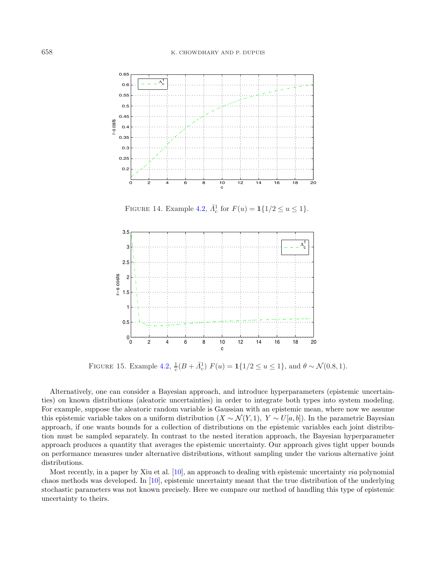<span id="page-23-0"></span>

FIGURE 14. Example [4.2,](#page-16-0)  $\bar{A}_c^1$  for  $F(u) = \mathbf{1}{1/2 \le u \le 1}$ .

<span id="page-23-1"></span>

FIGURE 15. Example [4.2,](#page-16-0)  $\frac{1}{c}(B + \bar{A}_c^1) F(u) = \mathbf{1}\{1/2 \le u \le 1\}$ , and  $\theta \sim \mathcal{N}(0.8, 1)$ .

Alternatively, one can consider a Bayesian approach, and introduce hyperparameters (epistemic uncertainties) on known distributions (aleatoric uncertainties) in order to integrate both types into system modeling. For example, suppose the aleatoric random variable is Gaussian with an epistemic mean, where now we assume this epistemic variable takes on a uniform distribution  $(X \sim \mathcal{N}(Y, 1), Y \sim U[a, b])$ . In the parametric Bayesian approach, if one wants bounds for a collection of distributions on the epistemic variables each joint distribution must be sampled separately. In contrast to the nested iteration approach, the Bayesian hyperparameter approach produces a quantity that averages the epistemic uncertainty. Our approach gives tight upper bounds on performance measures under alternative distributions, without sampling under the various alternative joint distributions.

Most recently, in a paper by Xiu et al. [\[10\]](#page-27-9), an approach to dealing with epistemic uncertainty *via* polynomial chaos methods was developed. In [\[10](#page-27-9)], epistemic uncertainty meant that the true distribution of the underlying stochastic parameters was not known precisely. Here we compare our method of handling this type of epistemic uncertainty to theirs.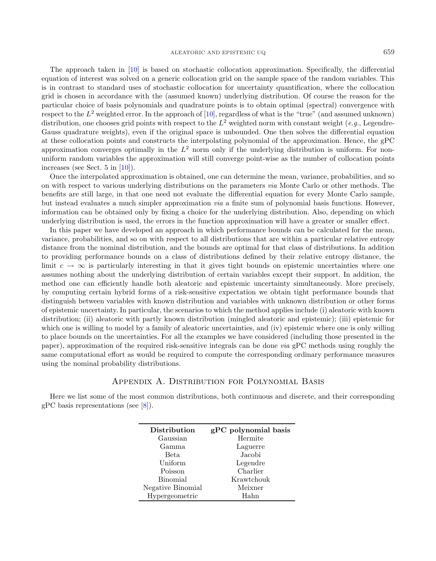#### ALEATORIC AND EPISTEMIC UQ 659

The approach taken in [\[10\]](#page-27-9) is based on stochastic collocation approximation. Specifically, the differential equation of interest was solved on a generic collocation grid on the sample space of the random variables. This is in contrast to standard uses of stochastic collocation for uncertainty quantification, where the collocation grid is chosen in accordance with the (assumed known) underlying distribution. Of course the reason for the particular choice of basis polynomials and quadrature points is to obtain optimal (spectral) convergence with respect to the  $L^2$  weighted error. In the approach of [\[10](#page-27-9)], regardless of what is the "true" (and assumed unknown) distribution, one chooses grid points with respect to the  $L^2$  weighted norm with constant weight (*e.g.*, Legendre-Gauss quadrature weights), even if the original space is unbounded. One then solves the differential equation at these collocation points and constructs the interpolating polynomial of the approximation. Hence, the gPC approximation converges optimally in the  $L^2$  norm only if the underlying distribution is uniform. For nonuniform random variables the approximation will still converge point-wise as the number of collocation points increases (see Sect. 5 in [\[10\]](#page-27-9)).

Once the interpolated approximation is obtained, one can determine the mean, variance, probabilities, and so on with respect to various underlying distributions on the parameters *via* Monte Carlo or other methods. The benefits are still large, in that one need not evaluate the differential equation for every Monte Carlo sample, but instead evaluates a much simpler approximation *via* a finite sum of polynomial basis functions. However, information can be obtained only by fixing a choice for the underlying distribution. Also, depending on which underlying distribution is used, the errors in the function approximation will have a greater or smaller effect.

In this paper we have developed an approach in which performance bounds can be calculated for the mean, variance, probabilities, and so on with respect to all distributions that are within a particular relative entropy distance from the nominal distribution, and the bounds are optimal for that class of distributions. In addition to providing performance bounds on a class of distributions defined by their relative entropy distance, the limit  $c \to \infty$  is particularly interesting in that it gives tight bounds on epistemic uncertainties where one assumes nothing about the underlying distribution of certain variables except their support. In addition, the method one can efficiently handle both aleatoric and epistemic uncertainty simultaneously. More precisely, by computing certain hybrid forms of a risk-sensitive expectation we obtain tight performance bounds that distinguish between variables with known distribution and variables with unknown distribution or other forms of epistemic uncertainty. In particular, the scenarios to which the method applies include (i) aleatoric with known distribution; (ii) aleatoric with partly known distribution (mingled aleatoric and epistemic); (iii) epistemic for which one is willing to model by a family of aleatoric uncertainties, and (iv) epistemic where one is only willing to place bounds on the uncertainties. For all the examples we have considered (including those presented in the paper), approximation of the required risk-sensitive integrals can be done *via* gPC methods using roughly the same computational effort as would be required to compute the corresponding ordinary performance measures using the nominal probability distributions.

### Appendix A. Distribution for Polynomial Basis

<span id="page-24-0"></span>Here we list some of the most common distributions, both continuous and discrete, and their corresponding gPC basis representations (see [\[8](#page-27-6)]).

| Distribution      | gPC polynomial basis |
|-------------------|----------------------|
| Gaussian          | Hermite              |
| Gamma             | Laguerre             |
| Beta              | Jacobi               |
| Uniform           | Legendre             |
| Poisson           | Charlier             |
| <b>Binomial</b>   | Krawtchouk           |
| Negative Binomial | Meixner              |
| Hypergeometric    | Hahn                 |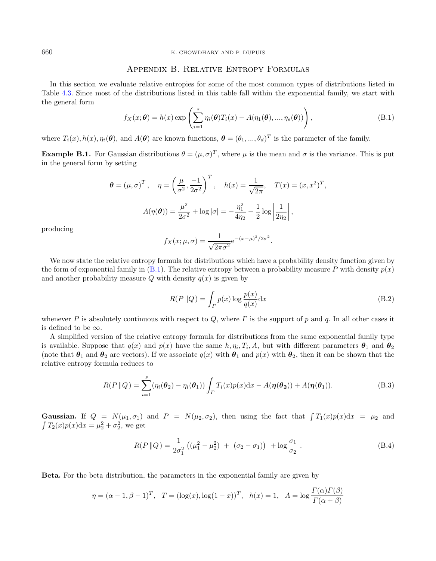<span id="page-25-0"></span>660 K. CHOWDHARY AND P. DUPUIS

## Appendix B. Relative Entropy Formulas

In this section we evaluate relative entropies for some of the most common types of distributions listed in Table [4.3.](#page-24-0) Since most of the distributions listed in this table fall within the exponential family, we start with the general form

$$
f_X(x; \theta) = h(x) \exp\left(\sum_{i=1}^s \eta_i(\theta) T_i(x) - A(\eta_1(\theta), ..., \eta_s(\theta))\right),
$$
\n(B.1)

where  $T_i(x)$ ,  $h(x)$ ,  $\eta_i(\theta)$ , and  $A(\theta)$  are known functions,  $\theta = (\theta_1, ..., \theta_d)^T$  is the parameter of the family.

**Example B.1.** For Gaussian distributions  $\theta = (\mu, \sigma)^T$ , where  $\mu$  is the mean and  $\sigma$  is the variance. This is put in the general form by setting

$$
\theta = (\mu, \sigma)^T, \quad \eta = \left(\frac{\mu}{\sigma^2}, \frac{-1}{2\sigma^2}\right)^T, \quad h(x) = \frac{1}{\sqrt{2\pi}}, \quad T(x) = (x, x^2)^T,
$$

$$
A(\eta(\theta)) = \frac{\mu^2}{2\sigma^2} + \log|\sigma| = -\frac{\eta_1^2}{4\eta_2} + \frac{1}{2}\log\left|\frac{1}{2\eta_2}\right|,
$$

producing

$$
f_X(x; \mu, \sigma) = \frac{1}{\sqrt{2\pi\sigma^2}} e^{-(x-\mu)^2/2\sigma^2}.
$$

We now state the relative entropy formula for distributions which have a probability density function given by the form of exponential family in  $(B.1)$ . The relative entropy between a probability measure P with density  $p(x)$ and another probability measure Q with density  $q(x)$  is given by

$$
R(P || Q) = \int_{\Gamma} p(x) \log \frac{p(x)}{q(x)} dx
$$
\n(B.2)

whenever P is absolutely continuous with respect to Q, where  $\Gamma$  is the support of p and q. In all other cases it is defined to be  $\infty$ .

A simplified version of the relative entropy formula for distributions from the same exponential family type is available. Suppose that  $q(x)$  and  $p(x)$  have the same  $h, \eta_i, T_i, A$ , but with different parameters  $\theta_1$  and  $\theta_2$ (note that  $\theta_1$  and  $\theta_2$  are vectors). If we associate  $q(x)$  with  $\theta_1$  and  $p(x)$  with  $\theta_2$ , then it can be shown that the relative entropy formula reduces to

$$
R(P \| Q) = \sum_{i=1}^{s} (\eta_i(\boldsymbol{\theta}_2) - \eta_i(\boldsymbol{\theta}_1)) \int_{\Gamma} T_i(x) p(x) dx - A(\boldsymbol{\eta}(\boldsymbol{\theta}_2)) + A(\boldsymbol{\eta}(\boldsymbol{\theta}_1)).
$$
\n(B.3)

**Gaussian.** If  $Q = N(\mu_1, \sigma_1)$  and  $P = N(\mu_2, \sigma_2)$ , then using the fact that  $\int T_1(x)p(x)dx = \mu_2$  and  $\int T_2(x)p(x)dx = \mu_2^2 + \sigma_2^2$ , we get

$$
R(P \| Q) = \frac{1}{2\sigma_1^2} \left( (\mu_1^2 - \mu_2^2) + (\sigma_2 - \sigma_1) \right) + \log \frac{\sigma_1}{\sigma_2} . \tag{B.4}
$$

**Beta.** For the beta distribution, the parameters in the exponential family are given by

$$
\eta = (\alpha - 1, \beta - 1)^T
$$
,  $T = (\log(x), \log(1 - x))^T$ ,  $h(x) = 1$ ,  $A = \log \frac{\Gamma(\alpha)\Gamma(\beta)}{\Gamma(\alpha + \beta)}$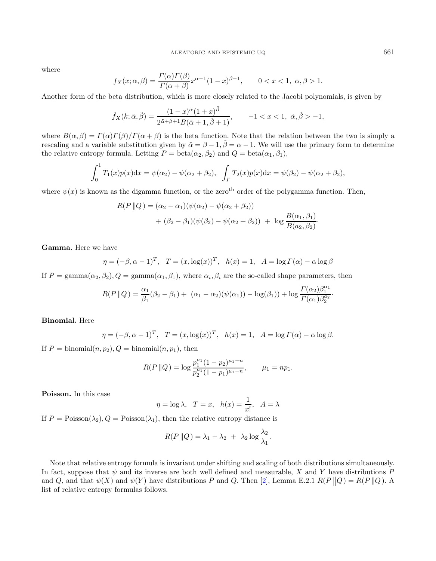where

$$
f_X(x; \alpha, \beta) = \frac{\Gamma(\alpha)\Gamma(\beta)}{\Gamma(\alpha + \beta)} x^{\alpha - 1} (1 - x)^{\beta - 1}, \qquad 0 < x < 1, \ \alpha, \beta > 1.
$$

Another form of the beta distribution, which is more closely related to the Jacobi polynomials, is given by

$$
\tilde{f}_X(k;\tilde{\alpha},\tilde{\beta})=\frac{(1-x)^{\tilde{\alpha}}(1+x)^{\tilde{\beta}}}{2^{\tilde{\alpha}+\tilde{\beta}+1}B(\tilde{\alpha}+1,\tilde{\beta}+1)},\qquad -1-1,
$$

where  $B(\alpha, \beta) = \Gamma(\alpha)\Gamma(\beta)/\Gamma(\alpha + \beta)$  is the beta function. Note that the relation between the two is simply a rescaling and a variable substitution given by  $\tilde{\alpha} = \beta - 1$ ,  $\tilde{\beta} = \alpha - 1$ . We will use the primary form to determine the relative entropy formula. Letting  $P = \text{beta}(\alpha_2, \beta_2)$  and  $Q = \text{beta}(\alpha_1, \beta_1)$ ,

$$
\int_0^1 T_1(x) p(x) dx = \psi(\alpha_2) - \psi(\alpha_2 + \beta_2), \quad \int_\Gamma T_2(x) p(x) dx = \psi(\beta_2) - \psi(\alpha_2 + \beta_2),
$$

where  $\psi(x)$  is known as the digamma function, or the zero<sup>th</sup> order of the polygamma function. Then,

$$
R(P || Q) = (\alpha_2 - \alpha_1)(\psi(\alpha_2) - \psi(\alpha_2 + \beta_2))
$$
  
+ (\beta\_2 - \beta\_1)(\psi(\beta\_2) - \psi(\alpha\_2 + \beta\_2)) + \log \frac{B(\alpha\_1, \beta\_1)}{B(\alpha\_2, \beta\_2)}.

**Gamma.** Here we have

$$
\eta = (-\beta, \alpha - 1)^T
$$
,  $T = (x, \log(x))^T$ ,  $h(x) = 1$ ,  $A = \log \Gamma(\alpha) - \alpha \log \beta$ 

If  $P = \text{gamma}(\alpha_2, \beta_2), Q = \text{gamma}(\alpha_1, \beta_1),$  where  $\alpha_i, \beta_i$  are the so-called shape parameters, then

$$
R(P \| Q) = \frac{\alpha_1}{\beta_1} (\beta_2 - \beta_1) + (\alpha_1 - \alpha_2)(\psi(\alpha_1)) - \log(\beta_1)) + \log \frac{\Gamma(\alpha_2)\beta_1^{\alpha_1}}{\Gamma(\alpha_1)\beta_2^{\alpha_2}}.
$$

**Binomial.** Here

$$
\eta = (-\beta, \alpha - 1)^T, \quad T = (x, \log(x))^T, \quad h(x) = 1, \quad A = \log \Gamma(\alpha) - \alpha \log \beta.
$$

If  $P = binomial(n, p_2), Q = binomial(n, p_1)$ , then

$$
R(P || Q) = \log \frac{p_1^{\mu_1} (1 - p_2)^{\mu_1 - n}}{p_2^{\mu_1} (1 - p_1)^{\mu_1 - n}}, \qquad \mu_1 = n p_1.
$$

**Poisson.** In this case

$$
\eta = \log \lambda, \quad T = x, \quad h(x) = \frac{1}{x!}, \quad A = \lambda
$$

If  $P = \text{Poisson}(\lambda_2)$ ,  $Q = \text{Poisson}(\lambda_1)$ , then the relative entropy distance is

$$
R(P || Q) = \lambda_1 - \lambda_2 + \lambda_2 \log \frac{\lambda_2}{\lambda_1}.
$$

Note that relative entropy formula is invariant under shifting and scaling of both distributions simultaneously. In fact, suppose that  $\psi$  and its inverse are both well defined and measurable, X and Y have distributions P and Q, and that  $\psi(X)$  and  $\psi(Y)$  have distributions  $\overline{P}$  and  $\overline{Q}$ . Then [\[2](#page-27-2)], Lemma E.2.1  $R(\overline{P} \parallel \overline{Q}) = R(P \parallel Q)$ . A list of relative entropy formulas follows.